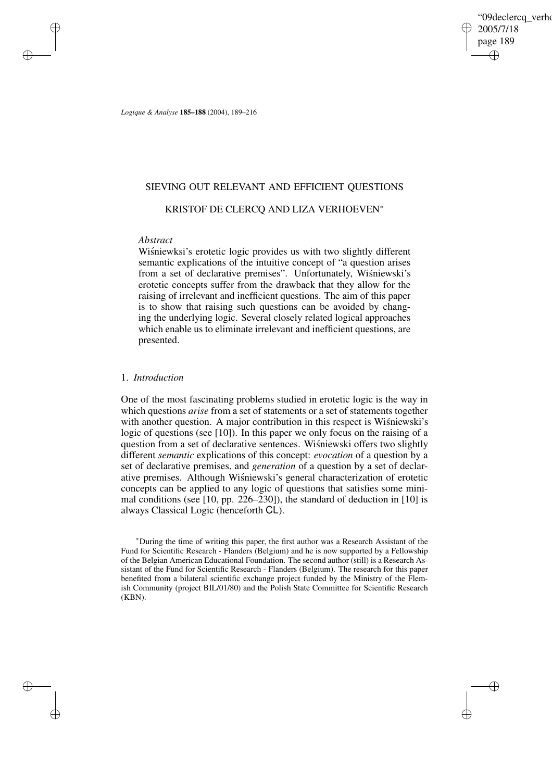'09declerca\_verho 2005/7/18 page 189 ✐ ✐

✐

✐

*Logique & Analyse* **185–188** (2004), 189–216

### SIEVING OUT RELEVANT AND EFFICIENT QUESTIONS

### KRISTOF DE CLERCQ AND LIZA VERHOEVEN<sup>∗</sup>

### *Abstract*

✐

✐

✐

✐

Wisniewksi's erotetic logic provides us with two slightly different semantic explications of the intuitive concept of "a question arises from a set of declarative premises". Unfortunately, Wisniewski's erotetic concepts suffer from the drawback that they allow for the raising of irrelevant and inefficient questions. The aim of this paper is to show that raising such questions can be avoided by changing the underlying logic. Several closely related logical approaches which enable us to eliminate irrelevant and inefficient questions, are presented.

### 1. *Introduction*

One of the most fascinating problems studied in erotetic logic is the way in which questions *arise* from a set of statements or a set of statements together with another question. A major contribution in this respect is Wisniewski's logic of questions (see [10]). In this paper we only focus on the raising of a question from a set of declarative sentences. Wisniewski offers two slightly different *semantic* explications of this concept: *evocation* of a question by a set of declarative premises, and *generation* of a question by a set of declarative premises. Although Wisniewski's general characterization of erotetic concepts can be applied to any logic of questions that satisfies some minimal conditions (see [10, pp. 226–230]), the standard of deduction in [10] is always Classical Logic (henceforth CL).

<sup>∗</sup>During the time of writing this paper, the first author was a Research Assistant of the Fund for Scientific Research - Flanders (Belgium) and he is now supported by a Fellowship of the Belgian American Educational Foundation. The second author (still) is a Research Assistant of the Fund for Scientific Research - Flanders (Belgium). The research for this paper benefited from a bilateral scientific exchange project funded by the Ministry of the Flemish Community (project BIL/01/80) and the Polish State Committee for Scientific Research (KBN).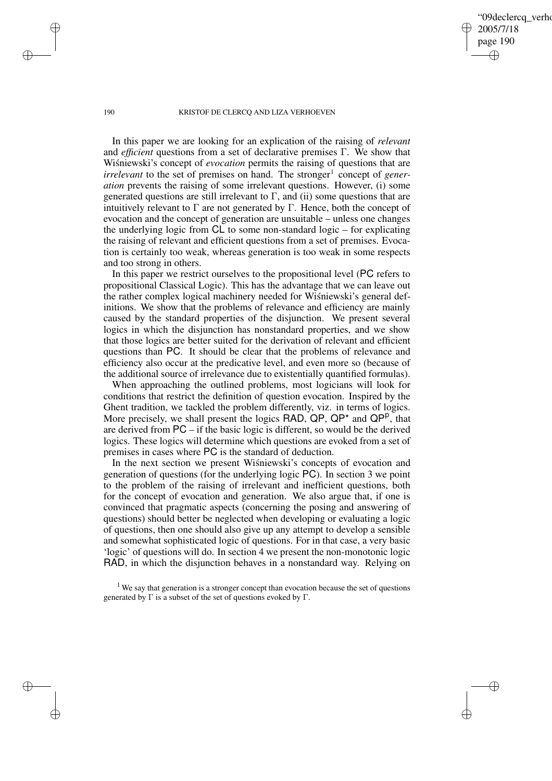09declerca verho 2005/7/18 page 190 ✐ ✐

✐

✐

#### 190 KRISTOF DE CLERCQ AND LIZA VERHOEVEN

In this paper we are looking for an explication of the raising of *relevant* and *efficient* questions from a set of declarative premises Γ. We show that Wisniewski's concept of *evocation* permits the raising of questions that are *irrelevant* to the set of premises on hand. The stronger<sup>1</sup> concept of *generation* prevents the raising of some irrelevant questions. However, (i) some generated questions are still irrelevant to  $\Gamma$ , and (ii) some questions that are intuitively relevant to  $\Gamma$  are not generated by  $\Gamma$ . Hence, both the concept of evocation and the concept of generation are unsuitable – unless one changes the underlying logic from CL to some non-standard logic – for explicating the raising of relevant and efficient questions from a set of premises. Evocation is certainly too weak, whereas generation is too weak in some respects and too strong in others.

In this paper we restrict ourselves to the propositional level (PC refers to propositional Classical Logic). This has the advantage that we can leave out the rather complex logical machinery needed for Wisniewski's general definitions. We show that the problems of relevance and efficiency are mainly caused by the standard properties of the disjunction. We present several logics in which the disjunction has nonstandard properties, and we show that those logics are better suited for the derivation of relevant and efficient questions than PC. It should be clear that the problems of relevance and efficiency also occur at the predicative level, and even more so (because of the additional source of irrelevance due to existentially quantified formulas).

When approaching the outlined problems, most logicians will look for conditions that restrict the definition of question evocation. Inspired by the Ghent tradition, we tackled the problem differently, viz. in terms of logics. More precisely, we shall present the logics RAD,  $QP$ ,  $QP^*$  and  $QP^p$ , that are derived from PC – if the basic logic is different, so would be the derived logics. These logics will determine which questions are evoked from a set of premises in cases where PC is the standard of deduction.

In the next section we present Wisniewski's concepts of evocation and generation of questions (for the underlying logic PC). In section 3 we point to the problem of the raising of irrelevant and inefficient questions, both for the concept of evocation and generation. We also argue that, if one is convinced that pragmatic aspects (concerning the posing and answering of questions) should better be neglected when developing or evaluating a logic of questions, then one should also give up any attempt to develop a sensible and somewhat sophisticated logic of questions. For in that case, a very basic 'logic' of questions will do. In section 4 we present the non-monotonic logic RAD, in which the disjunction behaves in a nonstandard way. Relying on

<sup>1</sup> We say that generation is a stronger concept than evocation because the set of questions generated by  $\Gamma$  is a subset of the set of questions evoked by  $\Gamma$ .

✐

✐

✐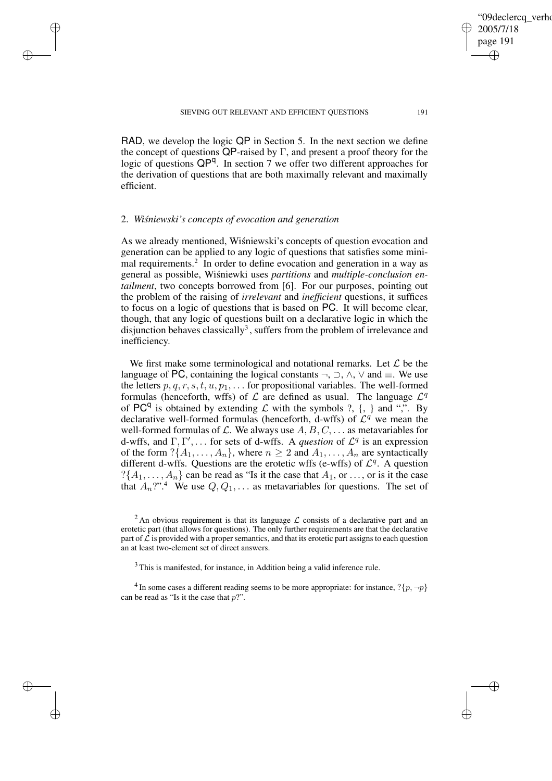RAD, we develop the logic QP in Section 5. In the next section we define the concept of questions  $\overline{QP}$ -raised by  $\Gamma$ , and present a proof theory for the logic of questions QP<sup>q</sup>. In section 7 we offer two different approaches for the derivation of questions that are both maximally relevant and maximally efficient.

### 2. *Wisnie ´ wski's concepts of evocation and generation*

✐

✐

✐

✐

As we already mentioned, Wisniewski's concepts of question evocation and generation can be applied to any logic of questions that satisfies some minimal requirements.<sup>2</sup> In order to define evocation and generation in a way as general as possible, Wiśniewki uses *partitions* and *multiple-conclusion entailment*, two concepts borrowed from [6]. For our purposes, pointing out the problem of the raising of *irrelevant* and *inefficient* questions, it suffices to focus on a logic of questions that is based on PC. It will become clear, though, that any logic of questions built on a declarative logic in which the disjunction behaves classically<sup>3</sup>, suffers from the problem of irrelevance and inefficiency.

We first make some terminological and notational remarks. Let  $\mathcal L$  be the language of PC, containing the logical constants  $\neg$ ,  $\Diamond$ ,  $\land$ ,  $\lor$  and  $\equiv$ . We use the letters  $p, q, r, s, t, u, p_1, \ldots$  for propositional variables. The well-formed formulas (henceforth, wffs) of  $\mathcal L$  are defined as usual. The language  $\mathcal L^q$ of PC<sup>q</sup> is obtained by extending  $\mathcal L$  with the symbols ?, {, } and ",". By declarative well-formed formulas (henceforth, d-wffs) of  $\mathcal{L}^q$  we mean the well-formed formulas of  $\mathcal{L}$ . We always use  $A, B, C, \ldots$  as metavariables for d-wffs, and  $\Gamma, \Gamma', \ldots$  for sets of d-wffs. A *question* of  $\mathcal{L}^q$  is an expression of the form  $?\{A_1, \ldots, A_n\}$ , where  $n \geq 2$  and  $A_1, \ldots, A_n$  are syntactically different d-wifs. Questions are the erotetic wffs (e-wffs) of  $\mathcal{L}^q$ . A question  $?$ { $A_1, \ldots, A_n$ } can be read as "Is it the case that  $A_1$ , or ..., or is it the case that  $A_n$ ?".<sup>4</sup> We use  $Q, Q_1, \ldots$  as metavariables for questions. The set of

<sup>2</sup> An obvious requirement is that its language  $\mathcal L$  consists of a declarative part and an erotetic part (that allows for questions). The only further requirements are that the declarative part of  $\overline{\mathcal{L}}$  is provided with a proper semantics, and that its erotetic part assigns to each question an at least two-element set of direct answers.

 $3$  This is manifested, for instance, in Addition being a valid inference rule.

<sup>4</sup> In some cases a different reading seems to be more appropriate: for instance,  $?\{p, \neg p\}$ can be read as "Is it the case that  $p$ ".

✐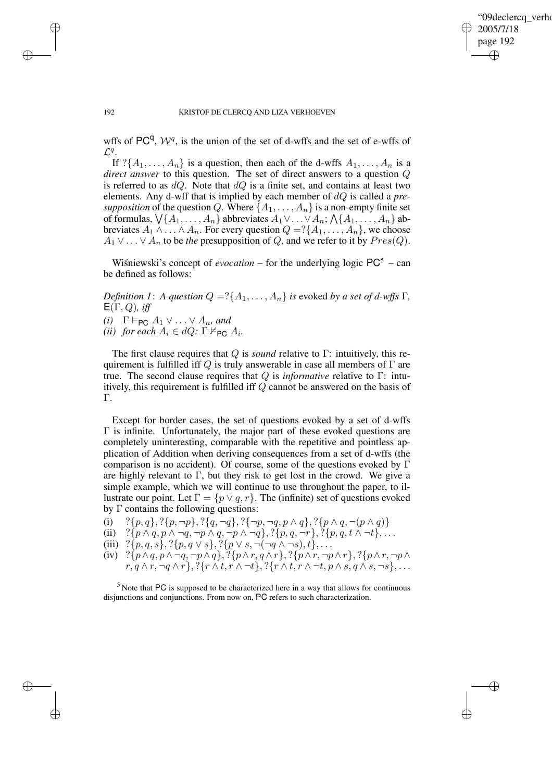✐

#### 192 KRISTOF DE CLERCQ AND LIZA VERHOEVEN

✐

✐

✐

✐

wffs of PC<sup>q</sup>,  $W<sup>q</sup>$ , is the union of the set of d-wffs and the set of e-wffs of  $\mathcal{L}^q$ .

If  $?{A_1, \ldots, A_n}$  is a question, then each of the d-wffs  $A_1, \ldots, A_n$  is a *direct answer* to this question. The set of direct answers to a question Q is referred to as  $dQ$ . Note that  $dQ$  is a finite set, and contains at least two elements. Any d-wff that is implied by each member of dQ is called a *presupposition* of the question Q. Where  $\{A_1, \ldots, A_n\}$  is a non-empty finite set of formulas,  $\bigvee$ { $A_1, \ldots, A_n$ } abbreviates  $A_1 \vee \ldots \vee A_n$ ;  $\bigwedge$ { $A_1, \ldots, A_n$ } abbreviates  $A_1 \wedge \ldots \wedge A_n$ . For every question  $Q = \{A_1, \ldots, A_n\}$ , we choose  $A_1 \vee \ldots \vee A_n$  to be *the* presupposition of Q, and we refer to it by  $Pres(Q)$ .

Wisniewski's concept of *evocation* – for the underlying logic  $PC^5$  – can be defined as follows:

*Definition 1*: *A question*  $Q = ?{A_1, \ldots, A_n}$  *is evoked by a set of d-wffs* Γ*,*  $E(\Gamma, Q)$ *, iff (i)*  $\Gamma \models_{PC} A_1 \vee \ldots \vee A_n$ *, and (ii) for each*  $A_i \in dQ$ :  $\Gamma \nvDash_{\mathsf{PC}} A_i$ *.* 

The first clause requires that Q is *sound* relative to Γ: intuitively, this requirement is fulfilled iff Q is truly answerable in case all members of  $\Gamma$  are true. The second clause requires that Q is *informative* relative to Γ: intuitively, this requirement is fulfilled iff Q cannot be answered on the basis of Γ.

Except for border cases, the set of questions evoked by a set of d-wffs  $\Gamma$  is infinite. Unfortunately, the major part of these evoked questions are completely uninteresting, comparable with the repetitive and pointless application of Addition when deriving consequences from a set of d-wffs (the comparison is no accident). Of course, some of the questions evoked by Γ are highly relevant to  $\Gamma$ , but they risk to get lost in the crowd. We give a simple example, which we will continue to use throughout the paper, to illustrate our point. Let  $\Gamma = \{p \lor q, r\}$ . The (infinite) set of questions evoked by Γ contains the following questions:

- (i)  $?{p, q}, ?{p, \neg p}, ?{q, \neg q}, ?{\neg p, \neg q, p \land q}, ?{p \land q, \neg(p \land q)}$
- (ii)  $?{p \land q, p \land \neg q, \neg p \land q, \neg p \land \neg q}, ?{p, q, \neg r}, ?{p, q, t \land \neg t}, \dots$
- (iii)  $?{p, q, s}, ?{p, q \vee s}, ?{p \vee s}, \neg(\neg q \wedge \neg s), t\}, \dots$
- (iv) ?{ $p \wedge q$ ,  $p \wedge \neg q$ ,  $\neg p \wedge q$ }, ?{ $p \wedge r$ ,  $q \wedge r$ }, ?{ $p \wedge r$ ,  $\neg p \wedge q$ }, ?{ $p \wedge r$ ,  $\neg p \wedge q$ }  $r, q \wedge r, \neg q \wedge r$ }, ?{ $r \wedge t, r \wedge \neg t$ }, ?{ $r \wedge t, r \wedge \neg t, p \wedge s, q \wedge s, \neg s$ }, ...

 $<sup>5</sup>$  Note that PC is supposed to be characterized here in a way that allows for continuous</sup> disjunctions and conjunctions. From now on, PC refers to such characterization.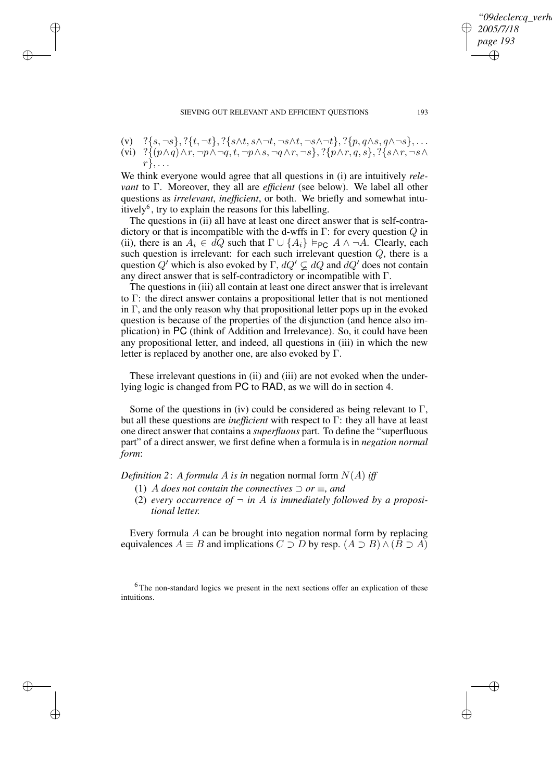- (v)  $?$ {s,¬s}, ?{t,¬t}, ?{s∧t, s∧¬t,¬s∧t,¬s∧¬t}, ?{p, q∧s, q∧¬s},...
- (vi) ? $\{ (p \wedge q) \wedge r, \neg p \wedge \neg q, t, \neg p \wedge s, \neg q \wedge r, \neg s \}, ? \{ p \wedge r, q, s \}, ? \{ s \wedge r, \neg s \wedge r \}$

 $r\},\ldots$ 

✐

✐

✐

✐

We think everyone would agree that all questions in (i) are intuitively *relevant* to Γ. Moreover, they all are *efficient* (see below). We label all other questions as *irrelevant*, *inefficient*, or both. We briefly and somewhat intuitively $^6$ , try to explain the reasons for this labelling.

The questions in (ii) all have at least one direct answer that is self-contradictory or that is incompatible with the d-wffs in  $\Gamma$ : for every question  $Q$  in (ii), there is an  $A_i \in dQ$  such that  $\Gamma \cup \{A_i\} \models_{PC} A \land \neg A$ . Clearly, each such question is irrelevant: for each such irrelevant question  $Q$ , there is a question  $Q'$  which is also evoked by  $\Gamma$ ,  $dQ' \subsetneq dQ$  and  $dQ'$  does not contain any direct answer that is self-contradictory or incompatible with Γ.

The questions in (iii) all contain at least one direct answer that is irrelevant to Γ: the direct answer contains a propositional letter that is not mentioned in  $\Gamma$ , and the only reason why that propositional letter pops up in the evoked question is because of the properties of the disjunction (and hence also implication) in PC (think of Addition and Irrelevance). So, it could have been any propositional letter, and indeed, all questions in (iii) in which the new letter is replaced by another one, are also evoked by  $\Gamma$ .

These irrelevant questions in (ii) and (iii) are not evoked when the underlying logic is changed from PC to RAD, as we will do in section 4.

Some of the questions in (iv) could be considered as being relevant to  $\Gamma$ , but all these questions are *inefficient* with respect to Γ: they all have at least one direct answer that contains a *superfluous* part. To define the "superfluous part" of a direct answer, we first define when a formula is in *negation normal form*:

*Definition* 2: *A formula A is in* negation normal form  $N(A)$  *iff* 

- (1) A *does* not contain the connectives  $\supset$  or  $\equiv$ , and
- (2) *every occurrence of*  $\neg$  *in A is immediately followed by a propositional letter.*

Every formula A can be brought into negation normal form by replacing equivalences  $A \equiv B$  and implications  $C \supset D$  by resp.  $(A \supset B) \wedge (B \supset A)$ 

<sup>6</sup>The non-standard logics we present in the next sections offer an explication of these intuitions.

09declerca\_verh

*2005/7/18 page 193*

✐

✐

✐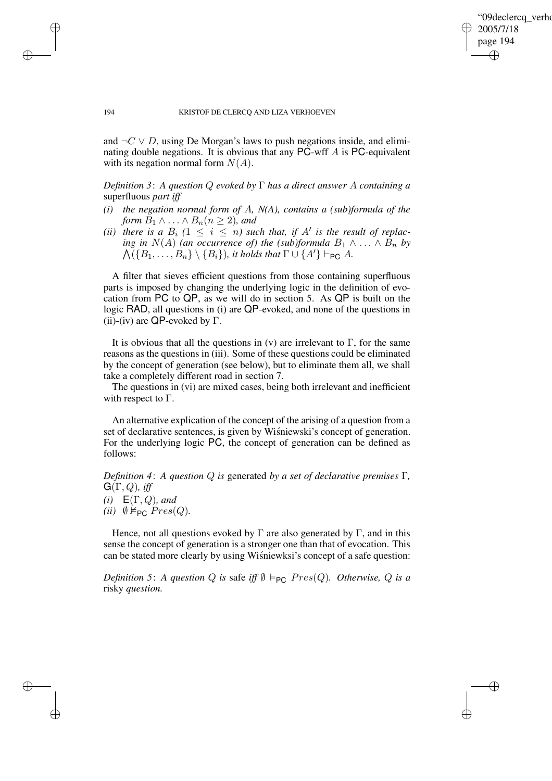✐

#### 194 KRISTOF DE CLERCQ AND LIZA VERHOEVEN

and  $\neg C \lor D$ , using De Morgan's laws to push negations inside, and eliminating double negations. It is obvious that any PC-wff A is PC-equivalent with its negation normal form  $N(A)$ .

*Definition 3*: *A question* Q *evoked by* Γ *has a direct answer* A *containing a* superfluous *part iff*

- *(i) the negation normal form of* A*, N(A), contains a (sub)formula of the form*  $B_1 \wedge \ldots \wedge B_n (n \geq 2)$ *, and*
- *(ii) there is a*  $B_i$   $(1 \leq i \leq n)$  *such that, if*  $A'$  *is the result of replac-* $\bigwedge (\{B_1, \ldots, B_n\} \setminus \{B_i\})$ *, it holds that*  $\Gamma \cup \{A'\} \vdash_{\mathsf{PC}} A$ *. ing in*  $N(A)$  *(an occurrence of) the (sub)formula*  $B_1 \wedge \ldots \wedge B_n$  *by*

A filter that sieves efficient questions from those containing superfluous parts is imposed by changing the underlying logic in the definition of evocation from PC to QP, as we will do in section 5. As QP is built on the logic RAD, all questions in (i) are QP-evoked, and none of the questions in (ii)-(iv) are QP-evoked by  $\Gamma$ .

It is obvious that all the questions in (v) are irrelevant to  $\Gamma$ , for the same reasons as the questions in (iii). Some of these questions could be eliminated by the concept of generation (see below), but to eliminate them all, we shall take a completely different road in section 7.

The questions in (vi) are mixed cases, being both irrelevant and inefficient with respect to  $\Gamma$ .

An alternative explication of the concept of the arising of a question from a set of declarative sentences, is given by Wisniewski's concept of generation. For the underlying logic PC, the concept of generation can be defined as follows:

*Definition 4*: *A question* Q *is* generated *by a set of declarative premises* Γ*,*  $G(\Gamma, Q)$ *, iff* 

*(i)*  $E(\Gamma, Q)$ *, and (ii)*  $\emptyset \nvDash_{PC} Pres(Q)$ .

Hence, not all questions evoked by  $\Gamma$  are also generated by  $\Gamma$ , and in this sense the concept of generation is a stronger one than that of evocation. This can be stated more clearly by using Wisniewksi's concept of a safe question:

*Definition* 5: *A question Q is* safe *iff*  $\emptyset$   $\models_{PC}$  *Pres*(*Q*)*. Otherwise*, *Q is a* risky *question.*

✐

✐

✐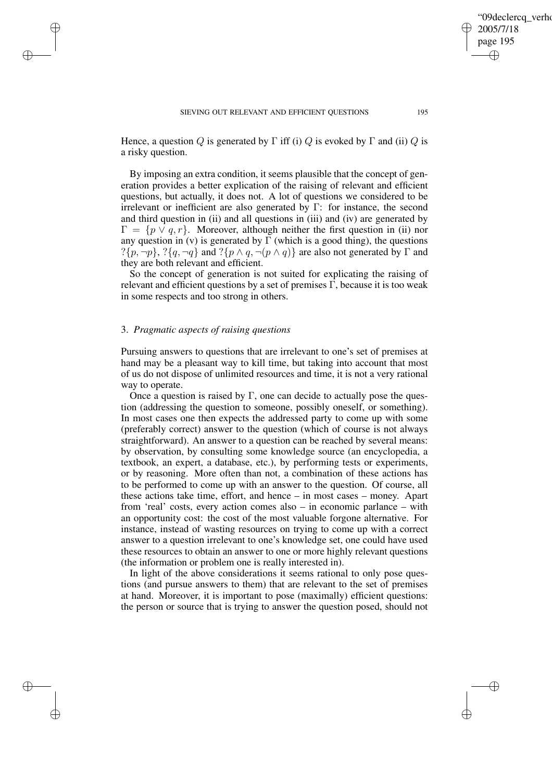Hence, a question Q is generated by  $\Gamma$  iff (i) Q is evoked by  $\Gamma$  and (ii) Q is a risky question.

By imposing an extra condition, it seems plausible that the concept of generation provides a better explication of the raising of relevant and efficient questions, but actually, it does not. A lot of questions we considered to be irrelevant or inefficient are also generated by Γ: for instance, the second and third question in (ii) and all questions in (iii) and (iv) are generated by  $\Gamma = \{p \lor q, r\}.$  Moreover, although neither the first question in (ii) nor any question in (v) is generated by  $\Gamma$  (which is a good thing), the questions  $?{p, \neg p}, ?{q, \neg q}$  and  $?{p \land q, \neg (p \land q)}$  are also not generated by  $\Gamma$  and they are both relevant and efficient.

So the concept of generation is not suited for explicating the raising of relevant and efficient questions by a set of premises  $\Gamma$ , because it is too weak in some respects and too strong in others.

# 3. *Pragmatic aspects of raising questions*

✐

✐

✐

✐

Pursuing answers to questions that are irrelevant to one's set of premises at hand may be a pleasant way to kill time, but taking into account that most of us do not dispose of unlimited resources and time, it is not a very rational way to operate.

Once a question is raised by  $\Gamma$ , one can decide to actually pose the question (addressing the question to someone, possibly oneself, or something). In most cases one then expects the addressed party to come up with some (preferably correct) answer to the question (which of course is not always straightforward). An answer to a question can be reached by several means: by observation, by consulting some knowledge source (an encyclopedia, a textbook, an expert, a database, etc.), by performing tests or experiments, or by reasoning. More often than not, a combination of these actions has to be performed to come up with an answer to the question. Of course, all these actions take time, effort, and hence – in most cases – money. Apart from 'real' costs, every action comes also – in economic parlance – with an opportunity cost: the cost of the most valuable forgone alternative. For instance, instead of wasting resources on trying to come up with a correct answer to a question irrelevant to one's knowledge set, one could have used these resources to obtain an answer to one or more highly relevant questions (the information or problem one is really interested in).

In light of the above considerations it seems rational to only pose questions (and pursue answers to them) that are relevant to the set of premises at hand. Moreover, it is important to pose (maximally) efficient questions: the person or source that is trying to answer the question posed, should not

✐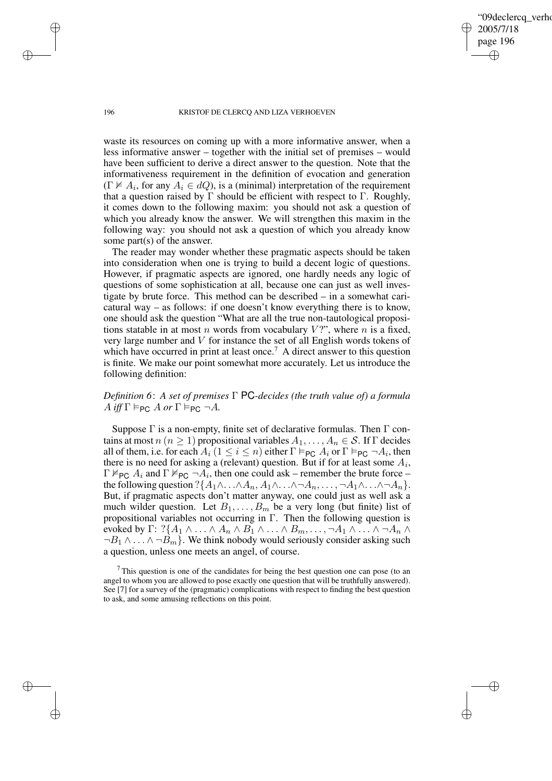09declerca\_verho 2005/7/18 page 196 ✐ ✐

✐

✐

#### 196 KRISTOF DE CLERCQ AND LIZA VERHOEVEN

waste its resources on coming up with a more informative answer, when a less informative answer – together with the initial set of premises – would have been sufficient to derive a direct answer to the question. Note that the informativeness requirement in the definition of evocation and generation  $(\Gamma \nvDash A_i)$ , for any  $A_i \in dQ$ , is a (minimal) interpretation of the requirement that a question raised by  $\Gamma$  should be efficient with respect to  $\Gamma$ . Roughly, it comes down to the following maxim: you should not ask a question of which you already know the answer. We will strengthen this maxim in the following way: you should not ask a question of which you already know some part(s) of the answer.

The reader may wonder whether these pragmatic aspects should be taken into consideration when one is trying to build a decent logic of questions. However, if pragmatic aspects are ignored, one hardly needs any logic of questions of some sophistication at all, because one can just as well investigate by brute force. This method can be described – in a somewhat caricatural way – as follows: if one doesn't know everything there is to know, one should ask the question "What are all the true non-tautological propositions statable in at most n words from vocabulary  $V$ ?", where n is a fixed, very large number and V for instance the set of all English words tokens of which have occurred in print at least once.<sup>7</sup> A direct answer to this question is finite. We make our point somewhat more accurately. Let us introduce the following definition:

# *Definition 6*: *A set of premises* Γ PC*-decides (the truth value of) a formula*  $A$  *iff*  $\Gamma \vDash_{\mathsf{PC}} A$  *or*  $\Gamma \vDash_{\mathsf{PC}} \neg A$ *.*

Suppose  $\Gamma$  is a non-empty, finite set of declarative formulas. Then  $\Gamma$  contains at most  $n (n \ge 1)$  propositional variables  $A_1, \ldots, A_n \in \mathcal{S}$ . If  $\Gamma$  decides all of them, i.e. for each  $A_i$  ( $1 \le i \le n$ ) either  $\Gamma \vDash_{PC} A_i$  or  $\Gamma \vDash_{PC} \neg A_i$ , then there is no need for asking a (relevant) question. But if for at least some  $A_i$ ,  $\Gamma \nvDash_{PC} A_i$  and  $\Gamma \nvDash_{PC} \neg A_i$ , then one could ask – remember the brute force – the following question ? $\{A_1 \wedge \ldots \wedge A_n, A_1 \wedge \ldots \wedge \neg A_n, \ldots, \neg A_1 \wedge \ldots \wedge \neg A_n\}.$ But, if pragmatic aspects don't matter anyway, one could just as well ask a much wilder question. Let  $B_1, \ldots, B_m$  be a very long (but finite) list of propositional variables not occurring in  $\Gamma$ . Then the following question is evoked by Γ: ? $\{A_1 \wedge \ldots \wedge A_n \wedge B_1 \wedge \ldots \wedge B_m, \ldots, \neg A_1 \wedge \ldots \wedge \neg A_n \wedge$  $\neg B_1 \land \dots \land \neg B_m$ . We think nobody would seriously consider asking such a question, unless one meets an angel, of course.

 $<sup>7</sup>$ This question is one of the candidates for being the best question one can pose (to an</sup> angel to whom you are allowed to pose exactly one question that will be truthfully answered). See [7] for a survey of the (pragmatic) complications with respect to finding the best question to ask, and some amusing reflections on this point.

✐

✐

✐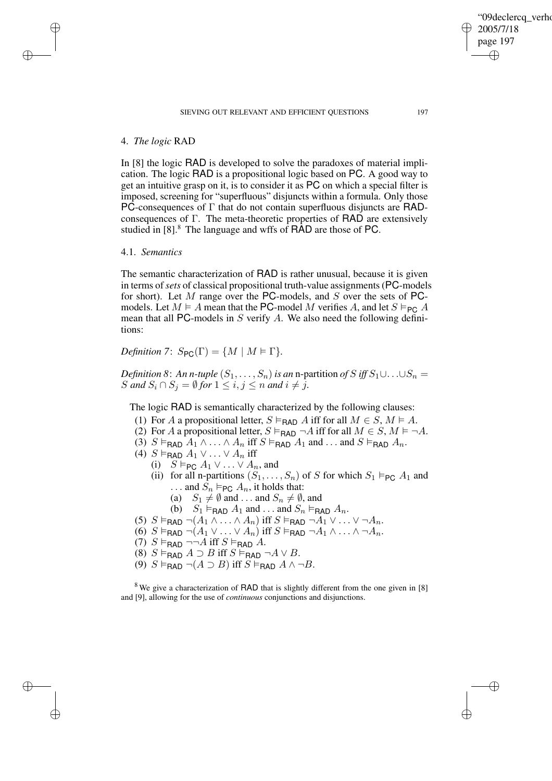#### SIEVING OUT RELEVANT AND EFFICIENT QUESTIONS 197

### 4. *The logic* RAD

✐

✐

✐

✐

In [8] the logic RAD is developed to solve the paradoxes of material implication. The logic RAD is a propositional logic based on PC. A good way to get an intuitive grasp on it, is to consider it as PC on which a special filter is imposed, screening for "superfluous" disjuncts within a formula. Only those PC-consequences of  $\Gamma$  that do not contain superfluous disjuncts are RADconsequences of Γ. The meta-theoretic properties of RAD are extensively studied in [8].<sup>8</sup> The language and wffs of RAD are those of PC.

### 4.1. *Semantics*

The semantic characterization of RAD is rather unusual, because it is given in terms of*sets* of classical propositional truth-value assignments(PC-models for short). Let M range over the PC-models, and S over the sets of PCmodels. Let  $M \models A$  mean that the PC-model M verifies A, and let  $S \models_{PC} A$ mean that all PC-models in  $S$  verify  $A$ . We also need the following definitions:

*Definition* 7:  $S_{PC}(\Gamma) = \{M \mid M \models \Gamma\}.$ 

*Definition* 8: *An n-tuple*  $(S_1, \ldots, S_n)$  *is an n-partition of*  $S$  *iff*  $S_1 \cup \ldots \cup S_n =$ S and  $S_i \cap S_j = \emptyset$  for  $1 \leq i, j \leq n$  and  $i \neq j$ .

The logic RAD is semantically characterized by the following clauses:

- (1) For A a propositional letter,  $S \vDash_{\mathsf{RAD}} A$  iff for all  $M \in S$ ,  $M \vDash A$ .
- (2) For A a propositional letter,  $S \vDash_{\text{RAD}} \neg A$  iff for all  $M \in S$ ,  $M \vDash \neg A$ .
- (3)  $S \vDash_{\text{FAD}} A_1 \wedge \ldots \wedge A_n$  iff  $S \vDash_{\text{FAD}} A_1$  and  $\ldots$  and  $S \vDash_{\text{FAD}} A_n$ .
- (4)  $S \vDash_{\text{RAD}} A_1 \vee \ldots \vee A_n$  iff
	- (i)  $S \vDash_{\mathsf{PC}} A_1 \vee \ldots \vee A_n$ , and
	- (ii) for all n-partitions  $(S_1, \ldots, S_n)$  of S for which  $S_1 \vDash_{PC} A_1$  and ... and  $S_n \vDash_{\mathsf{PC}} A_n$ , it holds that:
		- (a)  $S_1 \neq \emptyset$  and ... and  $S_n \neq \emptyset$ , and
		- (b)  $S_1 \vDash_{\text{RAD}} A_1$  and ... and  $S_n \vDash_{\text{RAD}} A_n$ .
- (5)  $S \vDash_{\mathsf{RAD}} \neg(A_1 \wedge \ldots \wedge A_n)$  iff  $S \vDash_{\mathsf{RAD}} \neg A_1 \vee \ldots \vee \neg A_n$ .
- $(6)$  S  $\vDash$ RAD  $\neg(A_1 \vee \ldots \vee A_n)$  iff  $S \vDash$ RAD  $\neg A_1 \wedge \ldots \wedge \neg A_n$ .
- (7)  $S \vDash_{\text{BAD}} \neg\neg A \text{ iff } S \vDash_{\text{BAD}} A$ .
- (8)  $S \vDash_{\text{FAD}} A \supset B$  iff  $S \vDash_{\text{FAD}} \neg A \vee B$ .
- (9)  $S \vDash_{\text{RAD}} \neg(A \supset B)$  iff  $S \vDash_{\text{BAD}} A \land \neg B$ .

<sup>8</sup> We give a characterization of RAD that is slightly different from the one given in [8] and [9], allowing for the use of *continuous* conjunctions and disjunctions.

'09declerca\_verho

2005/7/18 page 197

✐

✐

✐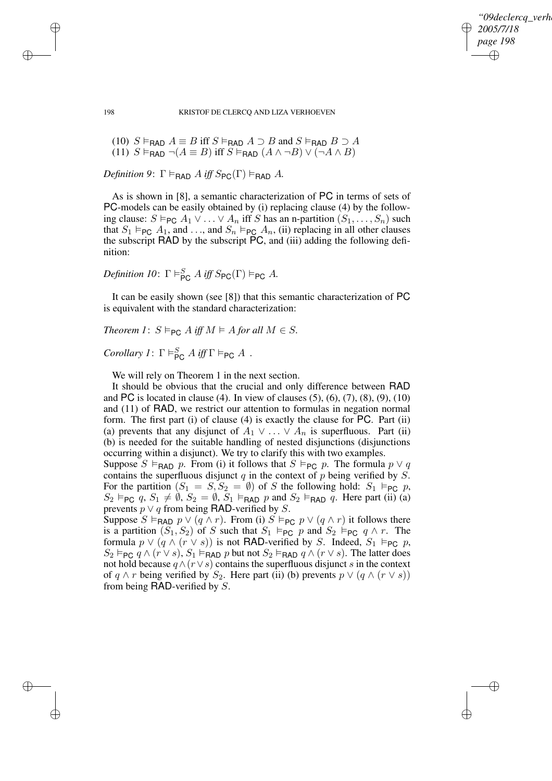✐

#### 198 KRISTOF DE CLERCQ AND LIZA VERHOEVEN

(10) 
$$
S \vDash_{\text{RAD}} A \equiv B
$$
 iff  $S \vDash_{\text{RAD}} A \supset B$  and  $S \vDash_{\text{RAD}} B \supset A$   
(11)  $S \vDash_{\text{RAD}} \neg(A \equiv B)$  iff  $S \vDash_{\text{RAD}} (A \wedge \neg B) \vee (\neg A \wedge B)$ 

*Definition* 9:  $\Gamma \models_{\text{BAD}} A$  *iff*  $S_{\text{PC}}(\Gamma) \models_{\text{BAD}} A$ .

✐

✐

✐

✐

As is shown in [8], a semantic characterization of PC in terms of sets of PC-models can be easily obtained by (i) replacing clause (4) by the following clause:  $S \vDash_{\mathsf{PC}} A_1 \vee \ldots \vee A_n$  iff S has an n-partition  $(S_1, \ldots, S_n)$  such that  $S_1 \vDash_{PC} A_1$ , and ..., and  $S_n \vDash_{PC} A_n$ , (ii) replacing in all other clauses the subscript RAD by the subscript PC, and (iii) adding the following definition:

*Definition 10*:  $\Gamma \models_{\mathsf{PC}}^S A \text{ iff } S_{\mathsf{PC}}(\Gamma) \models_{\mathsf{PC}} A$ .

It can be easily shown (see [8]) that this semantic characterization of PC is equivalent with the standard characterization:

*Theorem 1*:  $S \models_{PC} A$  *iff*  $M \models A$  *for all*  $M \in S$ *.* 

*Corollary 1*:  $\Gamma \models_{PC}^{S} A \text{ iff } \Gamma \models_{PC} A$ .

We will rely on Theorem 1 in the next section.

It should be obvious that the crucial and only difference between RAD and PC is located in clause (4). In view of clauses  $(5)$ ,  $(6)$ ,  $(7)$ ,  $(8)$ ,  $(9)$ ,  $(10)$ and (11) of RAD, we restrict our attention to formulas in negation normal form. The first part (i) of clause (4) is exactly the clause for PC. Part (ii) (a) prevents that any disjunct of  $A_1 \vee \ldots \vee A_n$  is superfluous. Part (ii) (b) is needed for the suitable handling of nested disjunctions (disjunctions occurring within a disjunct). We try to clarify this with two examples.

Suppose  $S \vDash_{\text{BAD}} p$ . From (i) it follows that  $S \vDash_{\text{PC}} p$ . The formula  $p \vee q$ contains the superfluous disjunct  $q$  in the context of  $p$  being verified by  $S$ . For the partition  $(S_1 = S, S_2 = \emptyset)$  of S the following hold:  $S_1 \models_{\text{PC}} p$ ,  $S_2 \vDash_{PC} q$ ,  $S_1 \neq \emptyset$ ,  $S_2 = \emptyset$ ,  $S_1 \vDash_{RAD} p$  and  $S_2 \vDash_{RAD} q$ . Here part (ii) (a) prevents  $p \vee q$  from being RAD-verified by S.

Suppose  $S \vDash_{\text{RAD}} p \vee (q \wedge r)$ . From (i)  $S \vDash_{\text{PC}} p \vee (q \wedge r)$  it follows there is a partition  $(S_1, S_2)$  of S such that  $S_1 \models_{\text{PC}} p$  and  $S_2 \models_{\text{PC}} q \wedge r$ . The formula  $p \vee (q \wedge (r \vee s))$  is not RAD-verified by S. Indeed,  $S_1 \vDash_{PC} p$ ,  $S_2 \vDash_{PC} q \wedge (r \vee s)$ ,  $S_1 \vDash_{PAD} p$  but not  $S_2 \vDash_{PAD} q \wedge (r \vee s)$ . The latter does not hold because  $q \wedge (r \vee s)$  contains the superfluous disjunct s in the context of  $q \wedge r$  being verified by  $S_2$ . Here part (ii) (b) prevents  $p \vee (q \wedge (r \vee s))$ from being RAD-verified by S.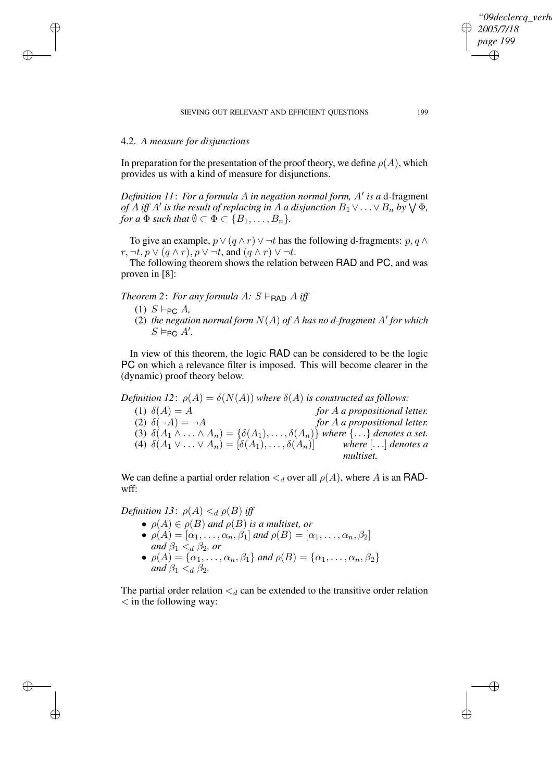### 4.2. *A measure for disjunctions*

✐

✐

✐

✐

In preparation for the presentation of the proof theory, we define  $\rho(A)$ , which provides us with a kind of measure for disjunctions.

*Definition 11: For a formula A in negation normal form, A' is a d-fragment of A iff A' is the result of replacing in A a disjunction*  $B_1 \vee \ldots \vee B_n$  *by*  $\bigvee \Phi$ *, for a*  $\Phi$  *such that*  $\emptyset \subset \Phi \subset \{B_1, \ldots, B_n\}.$ 

To give an example,  $p \vee (q \wedge r) \vee \neg t$  has the following d-fragments:  $p, q \wedge r$  $r, \neg t, p \lor (q \land r), p \lor \neg t$ , and  $(q \land r) \lor \neg t$ .

The following theorem shows the relation between RAD and PC, and was proven in [8]:

*Theorem* 2: *For any formula*  $A: S \vDash_{\text{RAD}} A$  *iff* 

- $(1)$  S  $\models_{PC}$  A,
- (2) the negation normal form  $N(A)$  of A has no d-fragment A' for which  $S \vDash_{\mathsf{PC}} A'.$

In view of this theorem, the logic RAD can be considered to be the logic PC on which a relevance filter is imposed. This will become clearer in the (dynamic) proof theory below.

*Definition* 12:  $\rho(A) = \delta(N(A))$  *where*  $\delta(A)$  *is constructed as follows:* (1)  $\delta(A) = A$  *for* A *a* propositional letter.<br>(2)  $\delta(\neg A) = \neg A$  *for* A *a* propositional letter.

(2) δ(¬A) = ¬A *for* A *a propositional letter.* (3)  $\delta(A_1 \wedge \ldots \wedge A_n) = \{\delta(A_1), \ldots, \delta(A_n)\}$  *where*  $\{\ldots\}$  *denotes a set.*<br>(4)  $\delta(A_1 \vee \ldots \vee A_n) = [\delta(A_1), \ldots, \delta(A_n)]$  where  $[\ldots]$  *denotes a* (4)  $\delta(A_1 \vee ... \vee A_n) = [\delta(A_1), ..., \delta(A_n)]$ *multiset.*

We can define a partial order relation  $\lt_d$  over all  $\rho(A)$ , where A is an RADwff:

*Definition* 13:  $\rho(A) \leq_d \rho(B)$  *iff* 

- $\rho(A) \in \rho(B)$  *and*  $\rho(B)$  *is a multiset, or*
- $\rho(A) = [\alpha_1, \ldots, \alpha_n, \beta_1]$  *and*  $\rho(B) = [\alpha_1, \ldots, \alpha_n, \beta_2]$ <br>*and*  $\beta_1 <_{d} \beta_2$ , *or and*  $\beta_1 <_d \beta_2$ *, or*
- $\rho(A) = {\alpha_1, \ldots, \alpha_n, \beta_1}$  *and*  $\rho(B) = {\alpha_1, \ldots, \alpha_n, \beta_2}$ *and*  $\beta_1 < d \beta_2$ *.*

The partial order relation  $\lt_d$  can be extended to the transitive order relation  $\langle$  in the following way:

*"09declercq\_verhoeven"*

*2005/7/18 page 199*

✐

✐

✐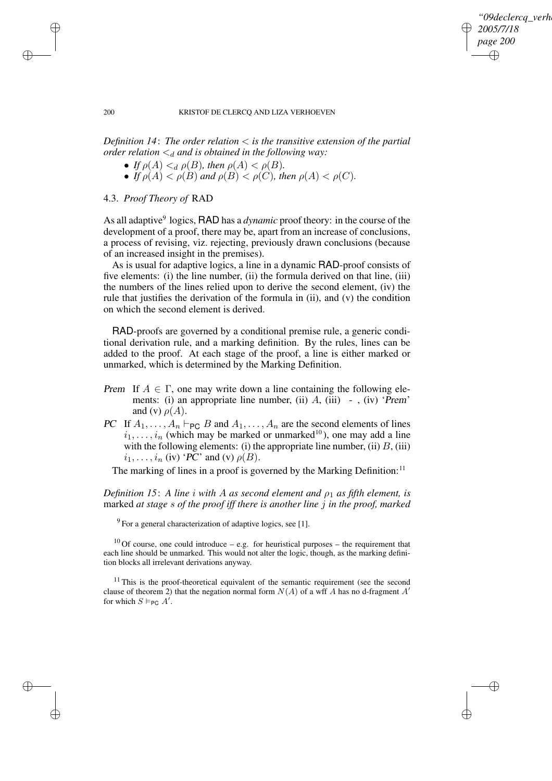✐

#### 200 KRISTOF DE CLERCQ AND LIZA VERHOEVEN

*Definition 14*: *The order relation* < *is the transitive extension of the partial order relation*  $\lt_d$  *and is obtained in the following way:* 

- *If*  $\rho(A) <_{d} \rho(B)$ *, then*  $\rho(A) < \rho(B)$ *.*
- *If*  $\rho(A) < \rho(B)$  and  $\rho(B) < \rho(C)$ , then  $\rho(A) < \rho(C)$ .

# 4.3. *Proof Theory of* RAD

As all adaptive 9 logics, RAD has a *dynamic* proof theory: in the course of the development of a proof, there may be, apart from an increase of conclusions, a process of revising, viz. rejecting, previously drawn conclusions (because of an increased insight in the premises).

As is usual for adaptive logics, a line in a dynamic RAD-proof consists of five elements: (i) the line number, (ii) the formula derived on that line, (iii) the numbers of the lines relied upon to derive the second element, (iv) the rule that justifies the derivation of the formula in (ii), and (v) the condition on which the second element is derived.

RAD-proofs are governed by a conditional premise rule, a generic conditional derivation rule, and a marking definition. By the rules, lines can be added to the proof. At each stage of the proof, a line is either marked or unmarked, which is determined by the Marking Definition.

- Prem If  $A \in \Gamma$ , one may write down a line containing the following elements: (i) an appropriate line number, (ii)  $A$ , (iii) -, (iv) 'Prem' and (v)  $\rho(A)$ .
- PC If  $A_1, \ldots, A_n \vdash_{PC} B$  and  $A_1, \ldots, A_n$  are the second elements of lines  $i_1, \ldots, i_n$  (which may be marked or unmarked<sup>10</sup>), one may add a line with the following elements: (i) the appropriate line number, (ii)  $B$ , (iii)  $i_1, \ldots, i_n$  (iv) 'PC' and (v)  $\rho(B)$ .

The marking of lines in a proof is governed by the Marking Definition:<sup>11</sup>

*Definition* 15: A line *i* with A as second element and  $\rho_1$  as fifth element, is marked *at stage* s *of the proof iff there is another line* j *in the proof, marked*

 $9^9$  For a general characterization of adaptive logics, see [1].

 $10$  Of course, one could introduce – e.g. for heuristical purposes – the requirement that each line should be unmarked. This would not alter the logic, though, as the marking definition blocks all irrelevant derivations anyway.

 $11$  This is the proof-theoretical equivalent of the semantic requirement (see the second clause of theorem 2) that the negation normal form  $N(A)$  of a wff A has no d-fragment A' for which  $S \vDash_{\mathsf{PC}} A'$ .

✐

✐

✐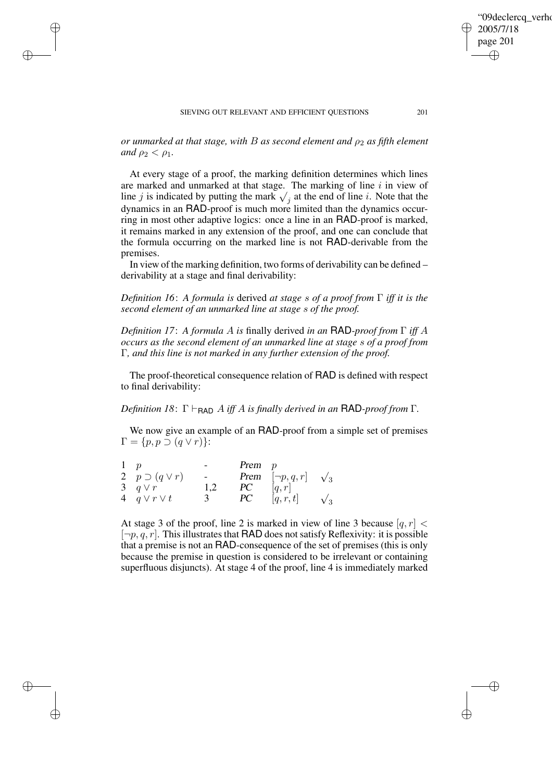✐

✐

✐

✐

✐

✐

*or unmarked at that stage, with B as second element and*  $\rho_2$  *as fifth element and*  $\rho_2 < \rho_1$ *.* 

At every stage of a proof, the marking definition determines which lines are marked and unmarked at that stage. The marking of line  $i$  in view of line j is indicated by putting the mark  $\sqrt{j}$  at the end of line i. Note that the dynamics in an RAD-proof is much more limited than the dynamics occurring in most other adaptive logics: once a line in an RAD-proof is marked, it remains marked in any extension of the proof, and one can conclude that the formula occurring on the marked line is not RAD-derivable from the premises.

In view of the marking definition, two forms of derivability can be defined – derivability at a stage and final derivability:

*Definition 16*: *A formula is* derived *at stage* s *of a proof from* Γ *iff it is the second element of an unmarked line at stage* s *of the proof.*

*Definition 17*: *A formula* A *is* finally derived *in an* RAD*-proof from* Γ *iff* A *occurs as the second element of an unmarked line at stage* s *of a proof from* Γ*, and this line is not marked in any further extension of the proof.*

The proof-theoretical consequence relation of RAD is defined with respect to final derivability:

*Definition* 18:  $\Gamma \vdash_{\text{RAD}} A$  *iff* A *is finally derived in an* **RAD**-proof from  $\Gamma$ *.* 

We now give an example of an RAD-proof from a simple set of premises  $\Gamma = \{p, p \supset (q \vee r)\}.$ 

|                          |     | $Prem \quad p$ |                                         |            |
|--------------------------|-----|----------------|-----------------------------------------|------------|
| 2 $p \supset (q \vee r)$ |     |                | <b>Prem</b> $[\neg p, q, r]$ $\sqrt{3}$ |            |
| 3 $q \vee r$             | 1,2 | PC.            | q,r                                     |            |
| 4 $q \vee r \vee t$      |     | PC.            | [q, r, t]                               | $\sqrt{3}$ |

At stage 3 of the proof, line 2 is marked in view of line 3 because  $[q, r]$  <  $[\neg p, q, r]$ . This illustrates that RAD does not satisfy Reflexivity: it is possible that a premise is not an RAD-consequence of the set of premises (this is only because the premise in question is considered to be irrelevant or containing superfluous disjuncts). At stage 4 of the proof, line 4 is immediately marked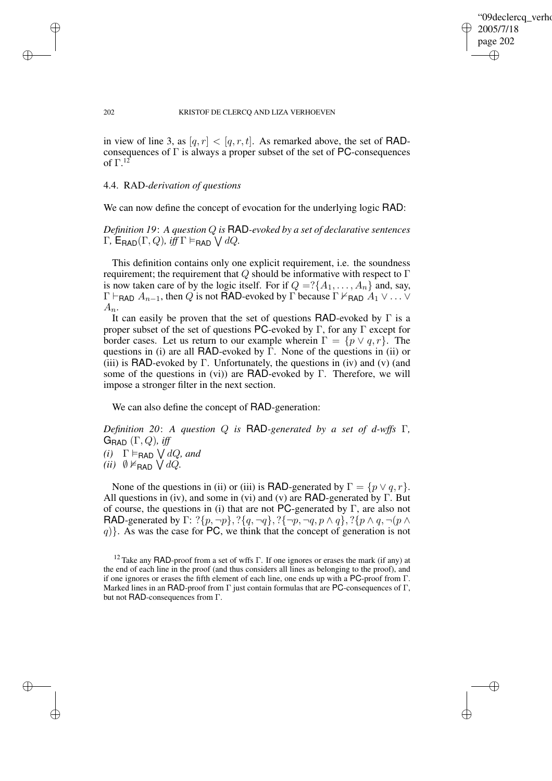✐

### 202 KRISTOF DE CLERCQ AND LIZA VERHOEVEN

in view of line 3, as  $[q, r] < [q, r, t]$ . As remarked above, the set of RADconsequences of  $\Gamma$  is always a proper subset of the set of PC-consequences of Γ. 12

### 4.4. RAD*-derivation of questions*

✐

✐

✐

✐

We can now define the concept of evocation for the underlying logic RAD:

*Definition 19*: *A question* Q *is* RAD*-evoked by a set of declarative sentences*  $\Gamma$ ,  $\mathsf{E}_{\mathsf{RAD}}(\Gamma, Q)$ , *iff*  $\Gamma \vDash_{\mathsf{RAD}} \bigvee dQ$ .

This definition contains only one explicit requirement, i.e. the soundness requirement; the requirement that  $Q$  should be informative with respect to  $\Gamma$ is now taken care of by the logic itself. For if  $Q = ?\{A_1, \ldots, A_n\}$  and, say,  $Γ ⊢<sub>RAD</sub> A<sub>n−1</sub>$ , then Q is not RAD-evoked by Γ because Γ  $\nvdash_{RAD} A_1 ∨ \ldots ∨$  $A_n$ .

It can easily be proven that the set of questions RAD-evoked by  $\Gamma$  is a proper subset of the set of questions PC-evoked by Γ, for any Γ except for border cases. Let us return to our example wherein  $\Gamma = \{p \lor q, r\}$ . The questions in (i) are all RAD-evoked by  $\overline{\Gamma}$ . None of the questions in (ii) or (iii) is RAD-evoked by Γ. Unfortunately, the questions in (iv) and (v) (and some of the questions in (vi)) are RAD-evoked by Γ. Therefore, we will impose a stronger filter in the next section.

We can also define the concept of RAD-generation:

*Definition 20*: *A question* Q *is* RAD*-generated by a set of d-wffs* Γ*,*  $G_{\text{RAD}}$   $(\Gamma, Q)$ *, iff*  $(i)$   $\Gamma \models_{\text{RAD}} \bigvee dQ$ *, and* 

```
(ii) \emptyset \nvDash_{\text{RAD}} \bigvee dQ.
```
None of the questions in (ii) or (iii) is **RAD**-generated by  $\Gamma = \{p \lor q, r\}.$ All questions in (iv), and some in (vi) and (v) are  $\textsf{RAD}\text{-generated by }\Gamma$ . But of course, the questions in (i) that are not PC-generated by  $\Gamma$ , are also not RAD-generated by Γ: ? $\{p, \neg p\}$ , ? $\{q, \neg q\}$ , ? $\{\neg p, \neg q, p \wedge q\}$ , ? $\{p \wedge q, \neg (p \wedge q)\}$  $q$ }. As was the case for PC, we think that the concept of generation is not

<sup>&</sup>lt;sup>12</sup> Take any RAD-proof from a set of wffs Γ. If one ignores or erases the mark (if any) at the end of each line in the proof (and thus considers all lines as belonging to the proof), and if one ignores or erases the fifth element of each line, one ends up with a PC-proof from Γ. Marked lines in an RAD-proof from Γ just contain formulas that are PC-consequences of Γ, but not RAD-consequences from Γ.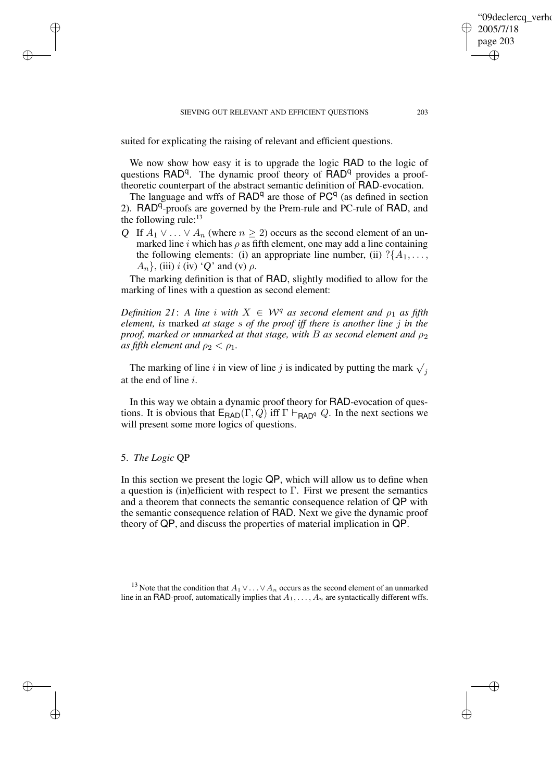suited for explicating the raising of relevant and efficient questions.

We now show how easy it is to upgrade the logic RAD to the logic of questions RAD<sup>q</sup>. The dynamic proof theory of RAD<sup>q</sup> provides a prooftheoretic counterpart of the abstract semantic definition of RAD-evocation.

The language and wffs of  $\mathsf{RAD}^q$  are those of  $\mathsf{PC}^q$  (as defined in section 2). RAD<sup>q</sup>-proofs are governed by the Prem-rule and PC-rule of RAD, and the following rule:<sup>13</sup>

Q If  $A_1 \vee \ldots \vee A_n$  (where  $n \geq 2$ ) occurs as the second element of an unmarked line i which has  $\rho$  as fifth element, one may add a line containing the following elements: (i) an appropriate line number, (ii)  $?{A_1, \ldots, A_n}$  $A_n$ , (iii) i (iv) 'Q' and (v)  $\rho$ .

The marking definition is that of RAD, slightly modified to allow for the marking of lines with a question as second element:

*Definition* 21: *A line i with*  $X \in W^q$  *as second element and*  $\rho_1$  *as fifth element, is* marked *at stage* s *of the proof iff there is another line* j *in the proof, marked or unmarked at that stage, with B as second element and*  $\rho_2$ *as fifth element and*  $\rho_2 < \rho_1$ *.* 

The marking of line i in view of line j is indicated by putting the mark  $\sqrt{j}$ at the end of line i.

In this way we obtain a dynamic proof theory for RAD-evocation of questions. It is obvious that  $\mathsf{E}_{\mathsf{BAD}}(\Gamma,Q)$  iff  $\Gamma \vdash_{\mathsf{BAD}^{\mathsf{q}}} Q$ . In the next sections we will present some more logics of questions.

### 5. *The Logic* QP

✐

✐

✐

✐

In this section we present the logic QP, which will allow us to define when a question is (in)efficient with respect to  $\Gamma$ . First we present the semantics and a theorem that connects the semantic consequence relation of QP with the semantic consequence relation of RAD. Next we give the dynamic proof theory of QP, and discuss the properties of material implication in QP.

<sup>13</sup> Note that the condition that  $A_1 \vee \ldots \vee A_n$  occurs as the second element of an unmarked line in an RAD-proof, automatically implies that  $A_1, \ldots, A_n$  are syntactically different wffs.

'09declerca\_verho

2005/7/18 page 203

✐

✐

✐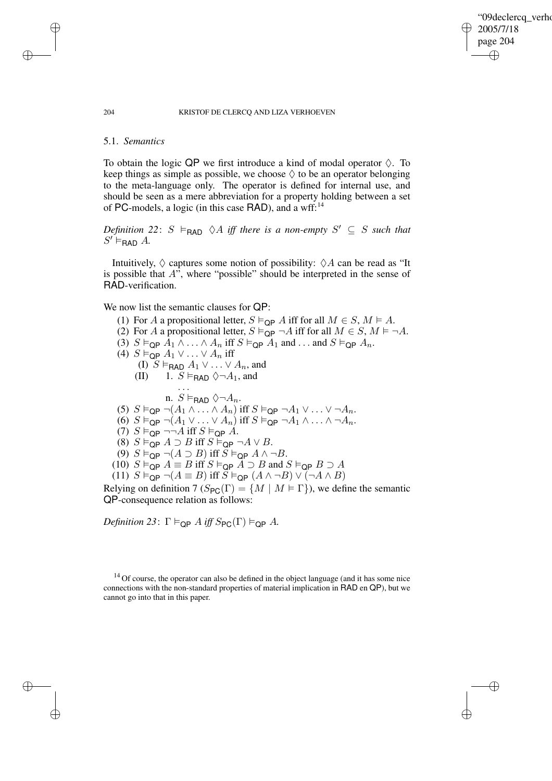"09declercq\_verho 2005/7/18 page 204 ✐ ✐

✐

✐

#### 204 KRISTOF DE CLERCQ AND LIZA VERHOEVEN

### 5.1. *Semantics*

✐

✐

✐

✐

To obtain the logic QP we first introduce a kind of modal operator  $\Diamond$ . To keep things as simple as possible, we choose  $\Diamond$  to be an operator belonging to the meta-language only. The operator is defined for internal use, and should be seen as a mere abbreviation for a property holding between a set of PC-models, a logic (in this case RAD), and a wff:<sup>14</sup>

 $Definition$  22:  $S \models$ **RAD**  $\Diamond A$  *iff there is a non-empty*  $S' \subseteq S$  *such that*  $S' \vDash_{\mathsf{RAD}} A$ .

Intuitively,  $\Diamond$  captures some notion of possibility:  $\Diamond A$  can be read as "It is possible that A", where "possible" should be interpreted in the sense of RAD-verification.

We now list the semantic clauses for QP:

- (1) For A a propositional letter,  $S \vDash_{\mathsf{QP}} A$  iff for all  $M \in S$ ,  $M \vDash A$ .
- (2) For A a propositional letter,  $S \vDash_{\text{QP}} \neg A$  iff for all  $M \in S$ ,  $M \vDash \neg A$ .
- (3)  $S \vDash_{\textsf{QP}} A_1 \wedge \ldots \wedge A_n$  iff  $S \vDash_{\textsf{QP}} A_1$  and  $\ldots$  and  $S \vDash_{\textsf{QP}} A_n$ .
- (4)  $S \vDash_{\mathsf{QP}} A_1 \vee \ldots \vee A_n$  iff

. . .

- (I)  $S \vDash_{\mathsf{RAD}} A_1 \vee \ldots \vee A_n$ , and
- (II) 1.  $S \vDash_{\text{RAD}} \Diamond \neg A_1$ , and

n.  $S \vDash_{\mathsf{RAD}} \Diamond \neg A_n$ .

- (5)  $S \vDash_{\textsf{QP}} \neg (A_1 \wedge \ldots \wedge A_n)$  iff  $S \vDash_{\textsf{QP}} \neg A_1 \vee \ldots \vee \neg A_n$ .
- $(6)$   $S \vDash_{\textsf{QP}} \neg(A_1 \vee \ldots \vee A_n)$  iff  $S \vDash_{\textsf{QP}} \neg A_1 \wedge \ldots \wedge \neg A_n$ .
- (7)  $S \vDash_{\mathsf{QP}} \neg\neg A$  iff  $S \vDash_{\mathsf{QP}} A$ .
- (8)  $S \vDash_{\textsf{QP}} A \supseteq B$  iff  $S \vDash_{\textsf{QP}} \neg A \vee B$ .
- (9)  $S \vDash_{\mathsf{QP}} \neg(A \supseteq B)$  iff  $S \vDash_{\mathsf{QP}} A \wedge \neg B$ .
- (10)  $S \vDash_{\textsf{QP}} A \equiv B \text{ iff } S \vDash_{\textsf{QP}} \overline{A} \supseteq B \text{ and } S \vDash_{\textsf{QP}} B \supseteq A$

(11)  $S \vDash_{\textsf{QP}} \neg(A \equiv B)$  iff  $S \vDash_{\textsf{QP}} (A \land \neg B) \lor (\neg A \land B)$ 

Relying on definition 7 ( $S_{PC}(\Gamma) = \{M \mid M \models \Gamma\}$ ), we define the semantic QP-consequence relation as follows:

*Definition* 23:  $\Gamma \models_{\textsf{OP}} A$  *iff*  $S_{\textsf{PC}}(\Gamma) \models_{\textsf{OP}} A$ .

 $14$  Of course, the operator can also be defined in the object language (and it has some nice connections with the non-standard properties of material implication in RAD en QP), but we cannot go into that in this paper.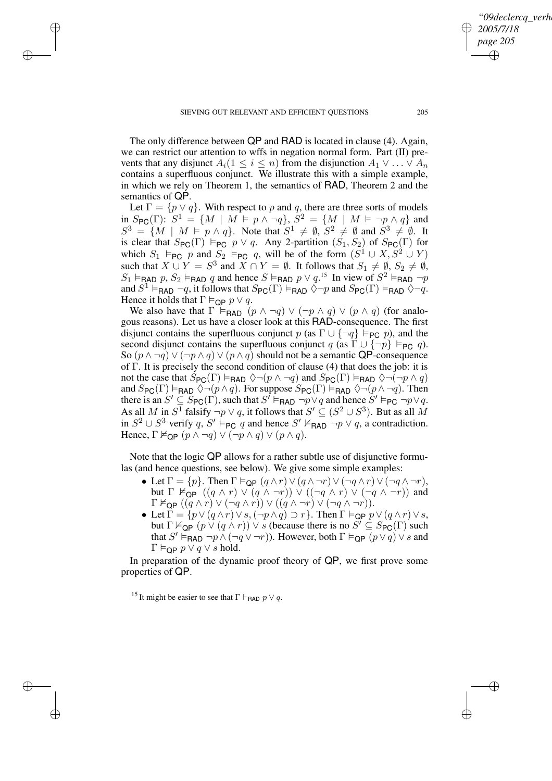✐

✐

✐

✐

✐

The only difference between QP and RAD is located in clause (4). Again, we can restrict our attention to wffs in negation normal form. Part (II) prevents that any disjunct  $A_i(1 \leq i \leq n)$  from the disjunction  $A_1 \vee \ldots \vee A_n$ contains a superfluous conjunct. We illustrate this with a simple example, in which we rely on Theorem 1, the semantics of RAD, Theorem 2 and the semantics of QP.

Let  $\Gamma = \{p \lor q\}$ . With respect to p and q, there are three sorts of models  $\lim_{n \to \infty} S_{\text{PC}}(\Gamma)$ :  $S^1 = \{ M \mid M \models p \land \neg q \}$ ,  $S^2 = \{ M \mid M \models \neg p \land q \}$  and  $S^3 = \{ M \mid M \models p \land q \}.$  Note that  $S^1 \neq \emptyset$ ,  $S^2 \neq \emptyset$  and  $S^3 \neq \emptyset$ . It is clear that  $S_{\text{PC}}(\Gamma) \models_{\text{PC}} p \vee q$ . Any 2-partition  $(S_1, S_2)$  of  $S_{\text{PC}}(\Gamma)$  for which  $S_1 \models_{PC} p$  and  $S_2 \models_{PC} q$ , will be of the form  $(S^1 \cup X, S^2 \cup Y)$ such that  $X \cup Y = S^3$  and  $X \cap Y = \emptyset$ . It follows that  $S_1 \neq \emptyset$ ,  $S_2 \neq \emptyset$ ,  $S_1 \models_{\text{RAD}} p$ ,  $S_2 \models_{\text{RAD}} q$  and hence  $S \models_{\text{RAD}} p \vee q$ .<sup>15</sup> In view of  $S^2 \models_{\text{BAD}} \neg p$ and  $S^1 \vDash_{\mathsf{RAD}} \neg q$ , it follows that  $S_{\mathsf{PC}}(\Gamma) \vDash_{\mathsf{RAD}} \Diamond \neg p$  and  $S_{\mathsf{PC}}(\Gamma) \vDash_{\mathsf{RAD}} \Diamond \neg q$ . Hence it holds that  $\Gamma \vDash_{\mathsf{QP}} p \lor q$ .

We also have that  $\Gamma \models_{\text{BAD}} (p \land \neg q) \lor (\neg p \land q) \lor (p \land q)$  (for analogous reasons). Let us have a closer look at this RAD-consequence. The first disjunct contains the superfluous conjunct p (as  $\Gamma \cup \{\neg q\} \models_{PC} p$ ), and the second disjunct contains the superfluous conjunct q (as  $\Gamma \cup \{\neg p\} \vDash_{PC} q$ ). So  $(p \wedge \neg q) \vee (\neg p \wedge q) \vee (p \wedge q)$  should not be a semantic QP-consequence of Γ. It is precisely the second condition of clause (4) that does the job: it is not the case that  $S_{PC}(\Gamma) \vDash_{\text{RAD}} \Diamond \neg (p \land \neg q)$  and  $S_{PC}(\Gamma) \vDash_{\text{RAD}} \Diamond \neg (\neg p \land q)$ and  $S_{PC}(\Gamma) \vDash_{\text{RAD}} \Diamond \neg (p \land q)$ . For suppose  $S_{PC}(\Gamma) \vDash_{\text{RAD}} \Diamond \neg (p \land \neg q)$ . Then there is an  $S' \subseteq S_{PC}(\Gamma)$ , such that  $S' \vDash_{PAD} \neg p \lor q$  and hence  $S' \vDash_{PC} \neg p \lor q$ . As all M in  $S^{\overline{1}}$  falsify  $\neg p \lor q$ , it follows that  $S' \subseteq (S^2 \cup S^3)$ . But as all M in  $S^2 \cup S^3$  verify q,  $S' \vDash_{\mathsf{PC}} q$  and hence  $S' \nvDash_{\mathsf{RAD}} \neg p \lor q$ , a contradiction. Hence,  $\Gamma \nvDash_{\mathsf{QP}} (p \land \neg q) \lor (\neg p \land q) \lor (p \land q)$ .

Note that the logic QP allows for a rather subtle use of disjunctive formulas (and hence questions, see below). We give some simple examples:

- Let  $\Gamma = \{p\}$ . Then  $\Gamma \vDash_{\mathsf{QP}} (q \wedge r) \vee (q \wedge \neg r) \vee (\neg q \wedge r) \vee (\neg q \wedge \neg r)$ , but  $\Gamma \nvDash_{\mathsf{QP}} ((q \wedge r) \vee (q \wedge \neg r)) \vee ((\neg q \wedge r) \vee (\neg q \wedge \neg r))$  and  $\Gamma \nvDash_{\mathsf{QP}} ((\overline{q} \wedge \overline{r}) \vee (\neg q \wedge \overline{r})) \vee ((\overline{q} \wedge \neg r) \vee (\neg q \wedge \neg r)).$
- Let  $\Gamma = \{p \lor (q \land r) \lor s, (\neg p \land q) \supset r\}$ . Then  $\Gamma \vDash_{\text{QP}} p \lor (q \land r) \lor s$ , but  $\Gamma \nvDash_{\textsf{QP}} (p \lor (q \land r)) \lor s$  (because there is no  $S' \subseteq S_{\textsf{PC}}(\Gamma)$  such that  $S' \vDash_{\mathsf{RAD}} \neg p \land (\neg q \lor \neg r)$ ). However, both  $\Gamma \vDash_{\mathsf{QP}} (p \lor q) \lor s$  and  $Γ \vDash$ <sub>QP</sub>  $p ∨ q ∨ s$  hold.

In preparation of the dynamic proof theory of QP, we first prove some properties of QP.

<sup>15</sup> It might be easier to see that  $\Gamma \vdash_{\text{RAD}} p \lor q$ .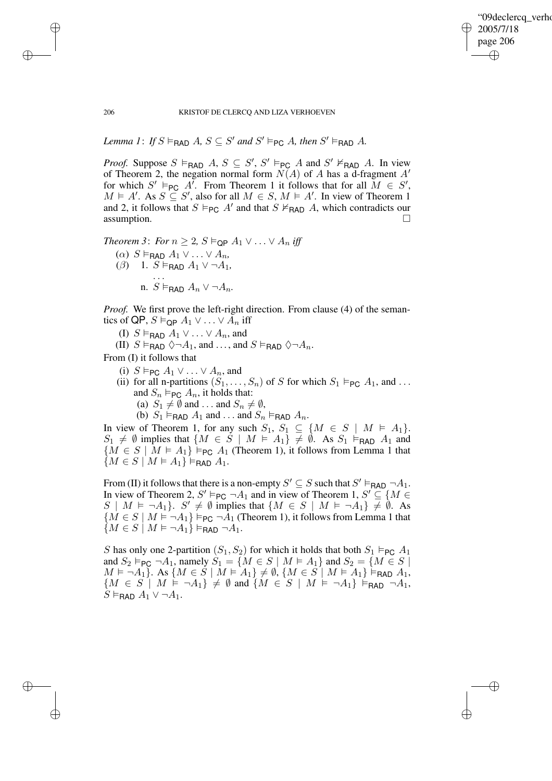✐

### 206 KRISTOF DE CLERCQ AND LIZA VERHOEVEN

*Lemma* 1: *If*  $S \vDash_{\mathsf{RAD}} A$ ,  $S \subseteq S'$  *and*  $S' \vDash_{\mathsf{PC}} A$ *, then*  $S' \vDash_{\mathsf{RAD}} A$ *.* 

*Proof.* Suppose  $S \vDash_{\mathsf{RAD}} A$ ,  $S \subseteq S'$ ,  $S' \vDash_{\mathsf{PC}} A$  and  $S' \nvDash_{\mathsf{RAD}} A$ . In view of Theorem 2, the negation normal form  $N(A)$  of A has a d-fragment  $A'$ for which  $S' \models_{PC} A'$ . From Theorem 1 it follows that for all  $M \in S'$ ,  $M \models A'$ . As  $S \subseteq S'$ , also for all  $M \in S$ ,  $M \models A'$ . In view of Theorem 1 and 2, it follows that  $S \vDash_{PC} A'$  and that  $S \nvDash_{RAD} A$ , which contradicts our assumption.

*Theorem 3: For*  $n \geq 2$ ,  $S \vDash_{\mathsf{OP}} A_1 \vee \ldots \vee A_n$  *iff*  $(\alpha)$   $S \vDash_{\mathsf{RAD}} A_1 \vee \ldots \vee A_n$  $(\beta)$  1.  $S \vDash_{\textsf{RAD}} A_1 \vee \neg A_1$ . . . n. *S* ⊨<sub>RAD</sub>  $A_n$  ∨ ¬ $A_n$ .

*Proof.* We first prove the left-right direction. From clause (4) of the semantics of QP,  $S \vDash_{\text{OP}} A_1 \vee \ldots \vee A_n$  iff

- (I)  $S \vDash_{\text{RAD}} A_1 \vee \ldots \vee A_n$ , and
- (II)  $S \vDash_{\text{FAD}} \Diamond \neg A_1$ , and ..., and  $S \vDash_{\text{FAD}} \Diamond \neg A_n$ .

From (I) it follows that

- (i)  $S \vDash_{PC} A_1 \vee \ldots \vee A_n$ , and
- (ii) for all n-partitions  $(S_1, \ldots, S_n)$  of S for which  $S_1 \vDash_{PC} A_1$ , and ... and  $S_n \vDash_{\mathsf{PC}} A_n$ , it holds that:
	- (a)  $S_1 \neq \emptyset$  and ... and  $S_n \neq \emptyset$ ,
	- (b)  $S_1 \vDash_{\text{RAD}} A_1$  and ... and  $S_n \vDash_{\text{RAD}} A_n$ .

In view of Theorem 1, for any such  $S_1, S_1 \subseteq \{M \in S \mid M \models A_1\}.$  $S_1 \neq \emptyset$  implies that  $\{M \in S \mid M \models A_1\} \neq \emptyset$ . As  $S_1 \models_{\sf RAD} A_1$  and  ${M \in S \mid M \models A_1} \models_{PC} A_1$  (Theorem 1), it follows from Lemma 1 that  $\{M \in S \mid M \models A_1\} \models_{\sf RAD} A_1.$ 

From (II) it follows that there is a non-empty  $S' \subseteq S$  such that  $S' \models_{\text{RAD}} \neg A_1$ . In view of Theorem 2,  $S' \vDash_{PC} \neg A_1$  and in view of Theorem 1,  $S' \subseteq \{M \in$  $S \mid M \models \neg A_1$ .  $S' \neq \emptyset$  implies that  $\{M \in S \mid M \models \neg A_1\} \neq \emptyset$ . As  ${M \in S \mid M \models \neg A_1} \models_{PC} \neg A_1$  (Theorem 1), it follows from Lemma 1 that  ${M \in S \mid M \models \neg A_1} \models_{\mathsf{RAD}} \neg A_1.$ 

S has only one 2-partition  $(S_1, S_2)$  for which it holds that both  $S_1 \vDash_{PC} A_1$ and  $S_2 \vDash_{\mathsf{PC}} \neg A_1$ , namely  $S_1 = \{M \in S \mid M \vDash A_1\}$  and  $S_2 = \{M \in S \mid M \vDash A_2\}$  $M \models \neg A_1$ . As  $\{M \in S \mid M \models A_1\} \neq \emptyset$ ,  $\{M \in S \mid M \models A_1\} \models_{\sf RAD} A_1$ ,  ${M \in S \mid M \models \neg A_1} \neq \emptyset$  and  ${M \in S \mid M \models \neg A_1}$   $\models_{\mathsf{RAD}} \neg A_1$ ,  $\dot{S} \vDash$ RAD  $A_1 \vee \neg A_1$ .

✐

✐

✐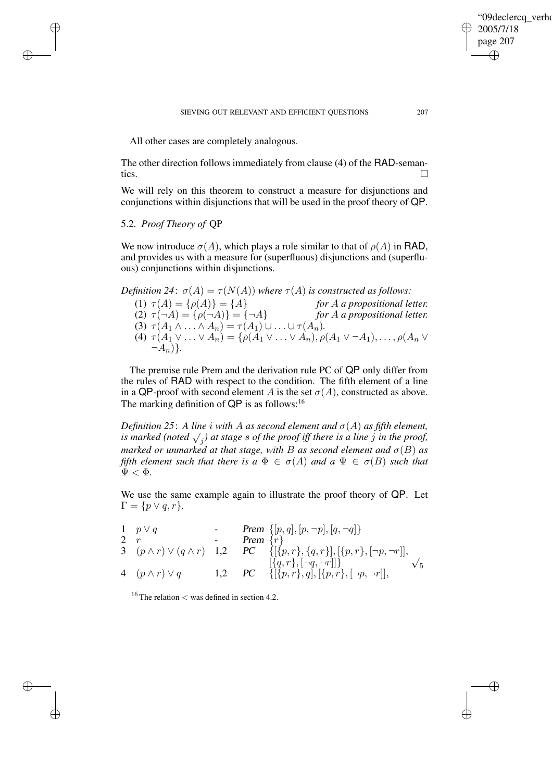All other cases are completely analogous.

The other direction follows immediately from clause (4) of the RAD-semantics.  $\Box$ 

We will rely on this theorem to construct a measure for disjunctions and conjunctions within disjunctions that will be used in the proof theory of QP.

### 5.2. *Proof Theory of* QP

✐

✐

✐

✐

We now introduce  $\sigma(A)$ , which plays a role similar to that of  $\rho(A)$  in RAD, and provides us with a measure for (superfluous) disjunctions and (superfluous) conjunctions within disjunctions.

*Definition* 24:  $\sigma(A) = \tau(N(A))$  *where*  $\tau(A)$  *is constructed as follows:* 

(1)  $\tau(A) = {\rho(A)} = {A}$  *for A a* propositional letter.<br>
(2)  $\tau(\neg A) = {\rho(\neg A)} = {\neg A}$  *for A a* propositional letter.  $(2) \ \tau(\neg A) = {\rho(\neg A)} = {\neg A}$ (3)  $\tau(A_1 \wedge \ldots \wedge A_n) = \tau(A_1) \cup \ldots \cup \tau(A_n).$ (4)  $\tau(A_1 \vee ... \vee A_n) = \{ \rho(A_1 \vee ... \vee A_n), \rho(A_1 \vee \neg A_1), ..., \rho(A_n \vee$  $\neg A_n$  $\}$ .

The premise rule Prem and the derivation rule PC of QP only differ from the rules of RAD with respect to the condition. The fifth element of a line in a QP-proof with second element A is the set  $\sigma(A)$ , constructed as above. The marking definition of  $QP$  is as follows:<sup>16</sup>

*Definition* 25: A line *i* with A as second element and  $\sigma(A)$  as fifth element, *is marked* (noted  $\sqrt{j}$ ) *at stage s of the proof iff there is a line j in the proof, marked or unmarked at that stage, with B as second element and*  $\sigma(B)$  *as fifth element such that there is*  $a \Phi \in \sigma(A)$  *and*  $a \Psi \in \sigma(B)$  *such that*  $\Psi < \Phi$ .

We use the same example again to illustrate the proof theory of QP. Let  $\Gamma = \{p \vee q, r\}.$ 

$$
\begin{array}{ll}\n1 & p \lor q & \cdot \\
2 & r & \cdot \\
3 & (p \land r) \lor (q \land r) & 1,2 \\
4 & (p \land r) \lor q & 1,2\n\end{array}\n\begin{array}{ll}\n\text{Prem } \{[p,q],[p,\neg p],[q,\neg q]\} \\
\text{Prem } \{r\} \\
\{[\{p,r\},\{q,r\}],[\{p,r\},[\neg p,\neg r]], \\
[\{q,r\},[\neg q,\neg r]]\} \\
\text{4 } (\{p \land r\}) \lor q & 1,2\n\end{array}\n\begin{array}{ll}\n\text{Prem } \{[p,q],[q,r,p],[\neg p,\neg r]\} \\
\text{Perm } \{[\{p,r\},\{q,r\},[\neg p,\neg r]]\} \\
\text{Theorem 1.2: } P\{-1,0\} \\
\text{Theorem 2.1: } P\{-1,0\} \\
\text{Theorem 3.1: } P\{-1,0\} \\
\text{Theorem 4.1: } P\{-1,0\} \\
\text{Theorem 5.1: } P\{-1,0\} \\
\text{Theorem 6.1: } P\{-1,0\} \\
\text{Theorem 7.2: } P\{-1,0\} \\
\text{Theorem 8.1: } P\{-1,0\} \\
\text{Theorem 8.1: } P\{-1,0\} \\
\text{Theorem 1.1: } P\{-1,0\} \\
\text{Theorem 1.2: } P\{-1,0\} \\
\text{Theorem 1.3: } P\{-1,0\} \\
\text{Theorem 2.2: } P\{-1,0\} \\
\text{Theorem 4.2: } P\{-1,0\} \\
\text{Theorem 1.3: } P\{-1,0\} \\
\text{Theorem 2.3: } P\{-1,0\} \\
\text{Theorem 3.2: } P\{-1,0\} \\
\text{Theorem 4.3: } P\{-1,0\} \\
\text{Theorem 4.4: } P\{-1,0\} \\
\text{Theorem 4.4: } P\{-1,0\} \\
\text{Theorem 4.4: } P\{-1,0\} \\
\text{Theorem 4.5: } P\{-1,0\} \\
\text{Theorem 4.5: } P\{-1,0\} \\
\text{Theorem 4.5: } P\{-1,0\} \\
\text{Theorem 4.5: } P\{-1,0\} \\
\text{Theorem 4.5:
$$

<sup>16</sup> The relation  $<$  was defined in section 4.2.

"09declercq\_verho

2005/7/18 page 207

✐

✐

✐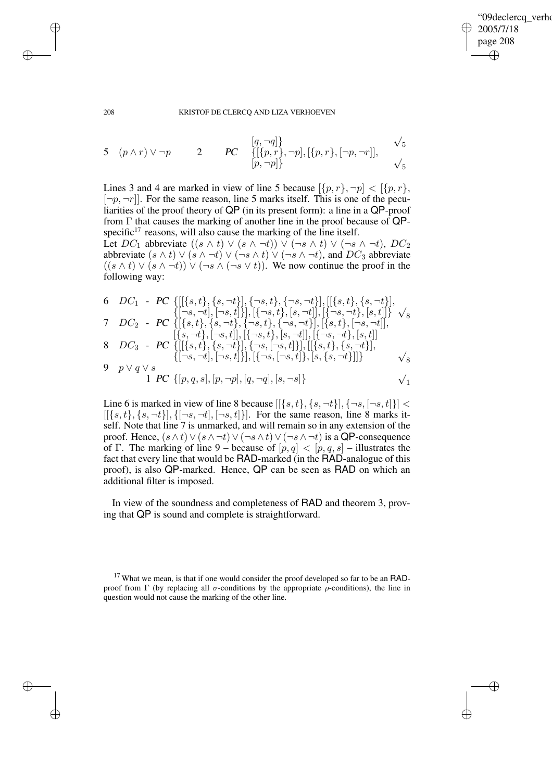✐

#### 208 KRISTOF DE CLERCQ AND LIZA VERHOEVEN

5 
$$
(p \wedge r) \vee \neg p
$$
 2 *PC*  $\{[\{p, r\}, \neg p], [\{p, r\}, [\neg p, \neg r]], \vee_5$   
 $[p, \neg p]\}$   $\vee_5$ 

Lines 3 and 4 are marked in view of line 5 because  $[\{p, r\}, \neg p] < [\{p, r\},\$  $[-p, -r]$ . For the same reason, line 5 marks itself. This is one of the peculiarities of the proof theory of QP (in its present form): a line in a QP-proof from Γ that causes the marking of another line in the proof because of QPspecific $17$  reasons, will also cause the marking of the line itself.

Let  $DC_1$  abbreviate  $((s \wedge t) \vee (s \wedge \neg t)) \vee (\neg s \wedge t) \vee (\neg s \wedge \neg t), DC_2$ abbreviate  $(s \wedge t) \vee (s \wedge \neg t) \vee (\neg s \wedge t) \vee (\neg s \wedge \neg t)$ , and  $DC_3$  abbreviate  $((s \wedge t) \vee (s \wedge \neg t)) \vee (\neg s \wedge (\neg s \vee t))$ . We now continue the proof in the following way:

6 
$$
DC_1 - PC \{[[\{s,t\}, \{s,\neg t\}], \{\neg s,t\}, \{\neg s,\neg t\}], [[\{s,t\}, \{s,\neg t\}], \{\neg s,\neg t\}], [\{\neg s,\neg t\}, [s,\neg t], \{s,\neg t\}], \{\neg s,t\}, [s,\neg t], [\{s,\neg t\}, \{s,\neg t\}, \{s,\neg t\}], [\{s,t\}, \{s,\neg t\}, \{s,\neg t\}], [\{s,t\}, \{s,\neg t\}], [\{s,t\}, \{s,\neg t\}], [\{s,t\}, \{s,\neg t\}], [\{s,t\}, \{s,\neg t\}], [\{s,t\}, \{s,\neg t\}], [\{s,t\}, \{s,\neg t\}], [\{s,t\}, \{s,\neg t\}], [\{s,t\}, \{s,\neg t\}], [\{s,t\}, \{s,\neg t\}], [\{s,t\}, \{s,\neg t\}], [\{s,t\}, \{s,\neg t\}], [\{s,t\}, \{s,\neg t\}], [\{s,t\}, \{s,\neg t\}]]
$$

Line 6 is marked in view of line 8 because  $[[\{s,t\}, \{s, \neg t\}], \{\neg s, [\neg s, t\}]]$  <  $[[\{s,t\}, \{s, \neg t\}], \{[\neg s, \neg t], [\neg s,t]\}]$ . For the same reason, line 8 marks itself. Note that line 7 is unmarked, and will remain so in any extension of the proof. Hence,  $(s \wedge t) \vee (s \wedge \neg t) \vee (\neg s \wedge t) \vee (\neg s \wedge \neg t)$  is a QP-consequence of Γ. The marking of line 9 – because of  $[p, q] < [p, q, s]$  – illustrates the fact that every line that would be RAD-marked (in the RAD-analogue of this proof), is also QP-marked. Hence, QP can be seen as RAD on which an additional filter is imposed.

In view of the soundness and completeness of RAD and theorem 3, proving that QP is sound and complete is straightforward.

 $17$  What we mean, is that if one would consider the proof developed so far to be an RADproof from Γ (by replacing all  $σ$ -conditions by the appropriate  $ρ$ -conditions), the line in question would not cause the marking of the other line.

✐

✐

✐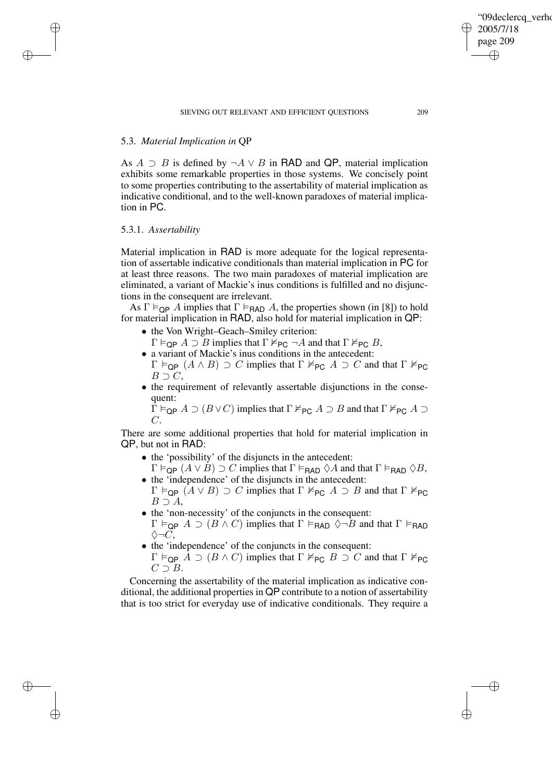## 5.3. *Material Implication in* QP

As  $A \supset B$  is defined by  $\neg A \lor B$  in RAD and QP, material implication exhibits some remarkable properties in those systems. We concisely point to some properties contributing to the assertability of material implication as indicative conditional, and to the well-known paradoxes of material implication in PC.

### 5.3.1. *Assertability*

✐

✐

✐

✐

Material implication in RAD is more adequate for the logical representation of assertable indicative conditionals than material implication in PC for at least three reasons. The two main paradoxes of material implication are eliminated, a variant of Mackie's inus conditions is fulfilled and no disjunctions in the consequent are irrelevant.

As  $\Gamma \vDash_{\textsf{QP}} A$  implies that  $\Gamma \vDash_{\textsf{RAD}} A$ , the properties shown (in [8]) to hold for material implication in RAD, also hold for material implication in QP:

- the Von Wright–Geach–Smiley criterion:
- $\Gamma \vDash_{\textsf{QP}} A \supset B$  implies that  $\Gamma \nvDash_{\textsf{PC}} \neg A$  and that  $\Gamma \nvDash_{\textsf{PC}} B$ ,
- a variant of Mackie's inus conditions in the antecedent:  $\Gamma \vDash_{\mathsf{QP}} (A \wedge B) \supset C$  implies that  $\Gamma \nvDash_{\mathsf{PC}} A \supset C$  and that  $\Gamma \nvDash_{\mathsf{PC}}$  $B \supset C$ ,
- the requirement of relevantly assertable disjunctions in the consequent:

 $\Gamma \vDash_{\textsf{QP}} A \supset (B \vee C)$  implies that  $\Gamma \nvDash_{\textsf{PC}} A \supset B$  and that  $\Gamma \nvDash_{\textsf{PC}} A \supset$  $\overline{C}$ .

There are some additional properties that hold for material implication in QP, but not in RAD:

- the 'possibility' of the disjuncts in the antecedent:
- $\Gamma \vDash_{\textsf{QP}} (A \vee B) \supset C$  implies that  $\Gamma \vDash_{\textsf{RAD}} \Diamond A$  and that  $\Gamma \vDash_{\textsf{RAD}} \Diamond B$ , • the 'independence' of the disjuncts in the antecedent:
- $\Gamma \vDash_{\mathsf{QP}} (A \vee B) \supset C$  implies that  $\Gamma \nvDash_{\mathsf{PC}} A \supset B$  and that  $\Gamma \nvDash_{\mathsf{PC}}$  $B \supset A$ ,
- the 'non-necessity' of the conjuncts in the consequent:  $\Gamma \vDash_{\textsf{QP}} A \supset (B \wedge C)$  implies that  $\Gamma \vDash_{\textsf{RAD}} \Diamond \neg \overline{B}$  and that  $\Gamma \vDash_{\textsf{RAD}}$  $\Diamond\neg C$ ,
- the 'independence' of the conjuncts in the consequent:  $Γ \vDash_{\mathsf{QP}} A \supset (B \wedge C)$  implies that  $Γ \nvDash_{\mathsf{PC}} B \supset C$  and that  $Γ \nvDash_{\mathsf{PC}}$  $C \supset B$ .

Concerning the assertability of the material implication as indicative conditional, the additional properties in QP contribute to a notion of assertability that is too strict for everyday use of indicative conditionals. They require a "09declercq\_verho

2005/7/18 page 209

✐

✐

✐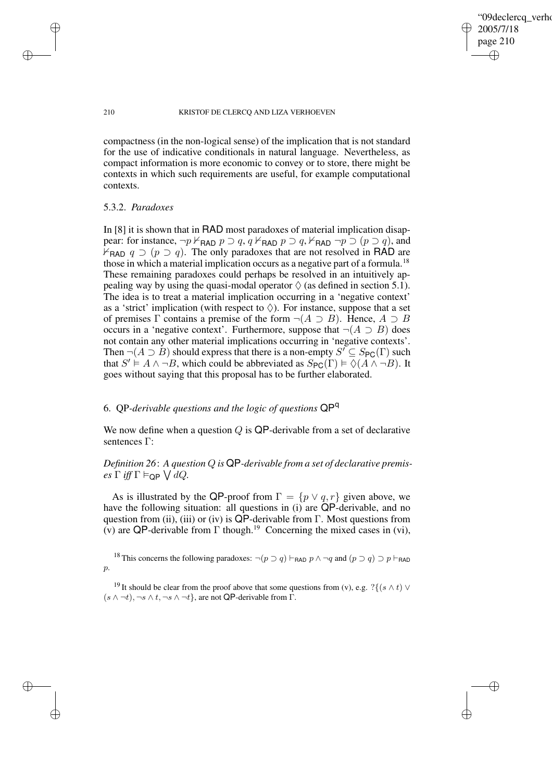✐

#### 210 KRISTOF DE CLERCQ AND LIZA VERHOEVEN

compactness (in the non-logical sense) of the implication that is not standard for the use of indicative conditionals in natural language. Nevertheless, as compact information is more economic to convey or to store, there might be contexts in which such requirements are useful, for example computational contexts.

### 5.3.2. *Paradoxes*

✐

✐

✐

✐

In [8] it is shown that in RAD most paradoxes of material implication disappear: for instance,  $\neg p \nvdash_{\text{BAD}} p \supset q$ ,  $q \nvdash_{\text{BAD}} p \supset q$ ,  $\nvdash_{\text{BAD}} \neg p \supset (p \supset q)$ , and  $\forall$ <sub>RAD</sub>  $q \supset (p \supset q)$ . The only paradoxes that are not resolved in RAD are those in which a material implication occurs as a negative part of a formula.<sup>18</sup> These remaining paradoxes could perhaps be resolved in an intuitively appealing way by using the quasi-modal operator  $\Diamond$  (as defined in section 5.1). The idea is to treat a material implication occurring in a 'negative context' as a 'strict' implication (with respect to  $\Diamond$ ). For instance, suppose that a set of premises  $\Gamma$  contains a premise of the form  $\neg(A \supset B)$ . Hence,  $A \supset B$ occurs in a 'negative context'. Furthermore, suppose that  $\neg(A \supset B)$  does not contain any other material implications occurring in 'negative contexts'. Then  $\neg(A \supset B)$  should express that there is a non-empty  $S' \subseteq S_{PC}(\Gamma)$  such that  $S' \models A \land \neg B$ , which could be abbreviated as  $S_{PC}(\Gamma) \models \Diamond(A \land \neg B)$ . It goes without saying that this proposal has to be further elaborated.

# 6. QP*-derivable questions and the logic of questions* QP<sup>q</sup>

We now define when a question  $Q$  is QP-derivable from a set of declarative sentences Γ:

# *Definition 26*: *A question* Q *is* QP*-derivable from a set of declarative premis* $es \Gamma \text{ iff } \Gamma \vDash_{\textsf{QP}} \bigvee dQ.$

As is illustrated by the QP-proof from  $\Gamma = \{p \lor q, r\}$  given above, we have the following situation: all questions in (i) are QP-derivable, and no question from (ii), (iii) or (iv) is  $QP$ -derivable from Γ. Most questions from (v) are QP-derivable from  $\Gamma$  though.<sup>19</sup> Concerning the mixed cases in (vi),

<sup>18</sup> This concerns the following paradoxes:  $\neg(p \supset q) \vdash_{\text{RAD}} p \land \neg q$  and  $(p \supset q) \supset p \vdash_{\text{RAD}}$ p.

<sup>19</sup> It should be clear from the proof above that some questions from (v), e.g. ? $\{(s \wedge t) \vee$  $(s \wedge \neg t), \neg s \wedge t, \neg s \wedge \neg t$ , are not QP-derivable from  $\Gamma$ .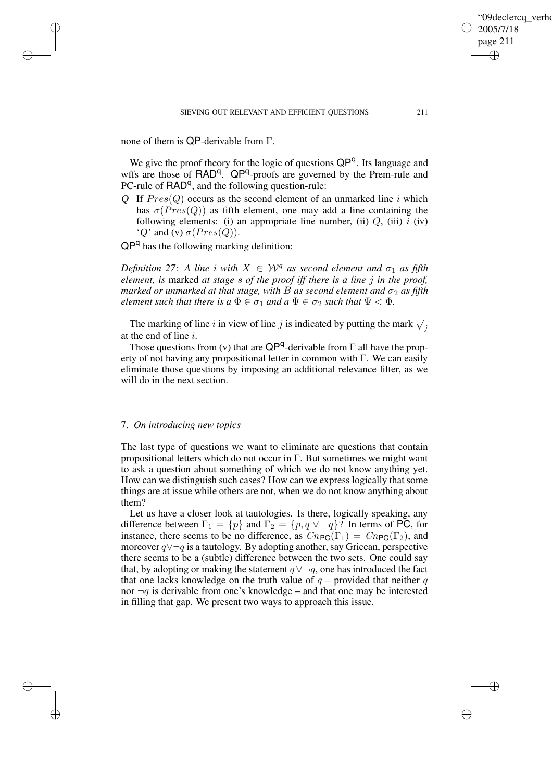none of them is QP-derivable from Γ.

✐

✐

✐

✐

We give the proof theory for the logic of questions QP<sup>q</sup>. Its language and wffs are those of RAD<sup>q</sup>. QP<sup>q</sup>-proofs are governed by the Prem-rule and PC-rule of  $\mathsf{RAD}^q$ , and the following question-rule:

Q If  $Pres(Q)$  occurs as the second element of an unmarked line i which has  $\sigma(Pres(Q))$  as fifth element, one may add a line containing the following elements: (i) an appropriate line number, (ii)  $Q$ , (iii)  $i$  (iv) 'Q' and (v)  $\sigma(Pres(Q))$ .

QP<sup>q</sup> has the following marking definition:

*Definition* 27: *A line i with*  $X \in W^q$  *as second element and*  $\sigma_1$  *as fifth element, is* marked *at stage* s *of the proof iff there is a line* j *in the proof, marked or unmarked at that stage, with B as second element and*  $\sigma_2$  *as fifth element such that there is*  $a \Phi \in \sigma_1$  *and*  $a \Psi \in \sigma_2$  *such that*  $\Psi \leq \Phi$ *.* 

The marking of line i in view of line j is indicated by putting the mark  $\sqrt{j}$ at the end of line i.

Those questions from (v) that are  $QP^q$ -derivable from  $\Gamma$  all have the property of not having any propositional letter in common with Γ. We can easily eliminate those questions by imposing an additional relevance filter, as we will do in the next section.

### 7. *On introducing new topics*

The last type of questions we want to eliminate are questions that contain propositional letters which do not occur in  $\Gamma$ . But sometimes we might want to ask a question about something of which we do not know anything yet. How can we distinguish such cases? How can we express logically that some things are at issue while others are not, when we do not know anything about them?

Let us have a closer look at tautologies. Is there, logically speaking, any difference between  $\Gamma_1 = \{p\}$  and  $\Gamma_2 = \{p, q \lor \neg q\}$ ? In terms of PC, for instance, there seems to be no difference, as  $Cn_{\text{PC}}(\Gamma_1) = Cn_{\text{PC}}(\Gamma_2)$ , and moreover q∨¬q is a tautology. By adopting another, say Gricean, perspective there seems to be a (subtle) difference between the two sets. One could say that, by adopting or making the statement  $q \vee \neg q$ , one has introduced the fact that one lacks knowledge on the truth value of  $q$  – provided that neither q nor  $\neg q$  is derivable from one's knowledge – and that one may be interested in filling that gap. We present two ways to approach this issue.

'09declerca\_verho

2005/7/18 page 211

✐

✐

✐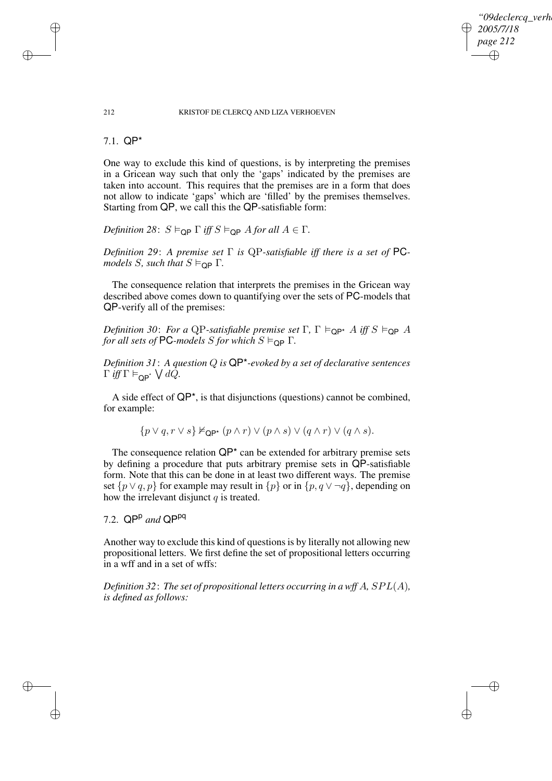09declerca\_verh *2005/7/18 page 212* ✐ ✐

✐

✐

#### 212 KRISTOF DE CLERCQ AND LIZA VERHOEVEN

7.1. QP\*

✐

✐

✐

✐

One way to exclude this kind of questions, is by interpreting the premises in a Gricean way such that only the 'gaps' indicated by the premises are taken into account. This requires that the premises are in a form that does not allow to indicate 'gaps' which are 'filled' by the premises themselves. Starting from QP, we call this the QP-satisfiable form:

*Definition* 28:  $S \vDash_{\mathsf{OP}} \Gamma$  *iff*  $S \vDash_{\mathsf{OP}} A$  *for all*  $A \in \Gamma$ *.* 

*Definition 29*: *A premise set* Γ *is* QP*-satisfiable iff there is a set of* PC*models S, such that*  $S \vDash_{\text{QP}} \Gamma$ *.* 

The consequence relation that interprets the premises in the Gricean way described above comes down to quantifying over the sets of PC-models that QP-verify all of the premises:

*Definition* 30: *For a* QP-satisfiable *premise set*  $\Gamma$ ,  $\Gamma \vDash_{\mathsf{OP}} A$  *iff*  $S \vDash_{\mathsf{OP}} A$ *for all sets of* PC-models *S for which*  $S \models_{\text{OP}} \Gamma$ .

*Definition 31*: *A question* Q *is* QP\**-evoked by a set of declarative sentences*  $\Gamma$  *iff*  $\Gamma \vDash_{\mathsf{QP}^*} \bigvee dQ$ .

A side effect of  $QP^*$ , is that disjunctions (questions) cannot be combined, for example:

 $\{p \vee q, r \vee s\} \nvDash_{\mathsf{QP}^*} (p \wedge r) \vee (p \wedge s) \vee (q \wedge r) \vee (q \wedge s).$ 

The consequence relation  $QP^*$  can be extended for arbitrary premise sets by defining a procedure that puts arbitrary premise sets in QP-satisfiable form. Note that this can be done in at least two different ways. The premise set  $\{p \lor q, p\}$  for example may result in  $\{p\}$  or in  $\{p, q \lor \neg q\}$ , depending on how the irrelevant disjunct  $q$  is treated.

7.2. QP<sup>p</sup> and QP<sup>pq</sup>

Another way to exclude this kind of questions is by literally not allowing new propositional letters. We first define the set of propositional letters occurring in a wff and in a set of wffs:

*Definition 32*: *The set of propositional letters occurring in a wff* A*,* SPL(A)*, is defined as follows:*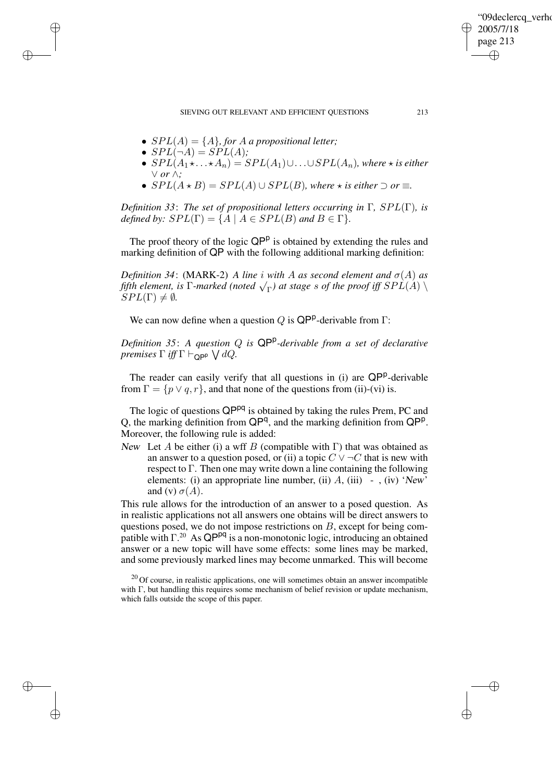SIEVING OUT RELEVANT AND EFFICIENT QUESTIONS 213

- $SPL(A) = \{A\}$ , for A a propositional letter;
- $SPL(\neg A) = \overrightarrow{SPL}(A);$

✐

✐

✐

✐

- $SPL(A_1 \star \ldots \star A_n) = SPL(A_1) \cup \ldots \cup SPL(A_n)$ , where  $\star$  *is either* ∨ *or* ∧*;*
- $SPL(A \star B) = SPL(A) \cup SPL(B)$ *, where*  $\star$  *is either*  $\supset$  *or*  $\equiv$ *.*

*Definition 33*: *The set of propositional letters occurring in* Γ*,* SPL(Γ)*, is defined by:*  $SPL(\Gamma) = \{A \mid A \in SPL(B) \text{ and } B \in \Gamma\}.$ 

The proof theory of the logic QP<sup>p</sup> is obtained by extending the rules and marking definition of QP with the following additional marking definition:

*Definition* 34: (MARK-2) *A line i* with *A as second element and*  $\sigma(A)$  *as fifth* element, is  $\Gamma$ -marked (noted  $\sqrt{\Gamma}$ ) at stage s of the proof iff  $SPL(A)$  $SPL(\Gamma) \neq \emptyset$ .

We can now define when a question Q is  $\mathsf{QP}^p$ -derivable from  $\Gamma$ :

*Definition 35*: *A question* Q *is* QP<sup>p</sup> *-derivable from a set of declarative premises*  $\Gamma$  *iff*  $\Gamma \vdash_{\mathsf{QPP}} \bigvee dQ$ .

The reader can easily verify that all questions in (i) are QP<sup>p</sup>-derivable from  $\Gamma = \{p \lor q, r\}$ , and that none of the questions from (ii)-(vi) is.

The logic of questions QP<sup>pq</sup> is obtained by taking the rules Prem, PC and Q, the marking definition from  $QP^q$ , and the marking definition from  $QP^p$ . Moreover, the following rule is added:

New Let A be either (i) a wff B (compatible with  $\Gamma$ ) that was obtained as an answer to a question posed, or (ii) a topic  $C \vee \neg C$  that is new with respect to  $\Gamma$ . Then one may write down a line containing the following elements: (i) an appropriate line number, (ii)  $A$ , (iii)  $-$ , (iv) 'New' and (v)  $\sigma(A)$ .

This rule allows for the introduction of an answer to a posed question. As in realistic applications not all answers one obtains will be direct answers to questions posed, we do not impose restrictions on  $B$ , except for being compatible with  $\Gamma^{20}$  As QP<sup>pq</sup> is a non-monotonic logic, introducing an obtained answer or a new topic will have some effects: some lines may be marked, and some previously marked lines may become unmarked. This will become

'09declercq\_verho

2005/7/18 page 213

✐

✐

✐

 $20$  Of course, in realistic applications, one will sometimes obtain an answer incompatible with Γ, but handling this requires some mechanism of belief revision or update mechanism, which falls outside the scope of this paper.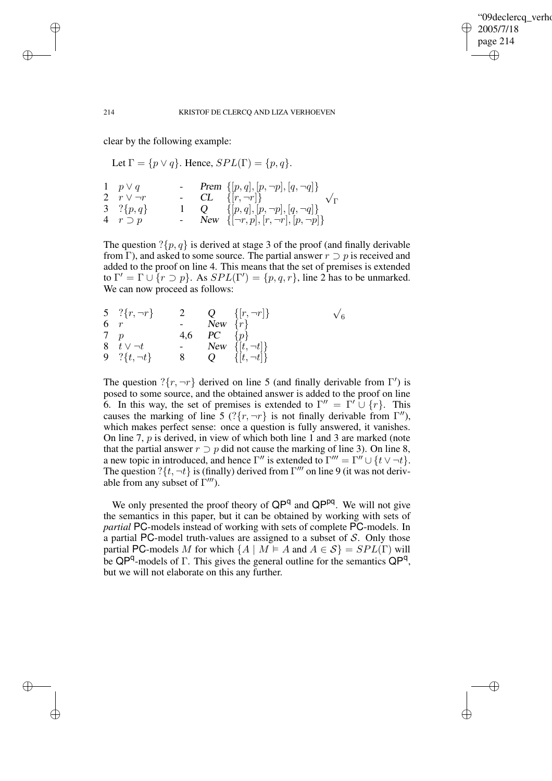✐

#### 214 KRISTOF DE CLERCQ AND LIZA VERHOEVEN

clear by the following example:

Let  $\Gamma = \{p \lor q\}$ . Hence,  $SPL(\Gamma) = \{p, q\}$ .

| 1 $p \vee q$      |  | - <b>Prem</b> $\{[p,q],[p,\neg p],[q,\neg q]\}$   |
|-------------------|--|---------------------------------------------------|
| 2 $r \vee \neg r$ |  | - $CL \{[r, \neg r]\}$<br>$\sqrt{\Gamma}$         |
| 3 ?{ $p, q$ }     |  | 1 Q $\{[p,q],[p,\neg p],[q,\neg q]\}$             |
| 4 $r \supset p$   |  | - New $\{[\neg r, p], [r, \neg r], [p, \neg p]\}$ |

The question  $?\{p, q\}$  is derived at stage 3 of the proof (and finally derivable from Γ), and asked to some source. The partial answer  $r \supset p$  is received and added to the proof on line 4. This means that the set of premises is extended  $\Gamma' = \Gamma \cup \{r \supset p\}$ . As  $SPL(\Gamma') = \{p, q, r\}$ , line 2 has to be unmarked. We can now proceed as follows:

|            | 5 ?{ $r, \neg r$ } | $\overline{2}$ |                       | Q { r, $\neg r$  }      | $\sqrt{6}$ |
|------------|--------------------|----------------|-----------------------|-------------------------|------------|
| 6 $r$      |                    |                | New $\{r\}$           |                         |            |
| $7\quad p$ |                    |                | 4,6 <i>PC</i> $\{p\}$ |                         |            |
|            | 8 $t \vee \neg t$  |                |                       | - New $\{[t, \neg t]\}$ |            |
|            | 9 ?{ $t, \neg t$ } | 8              |                       | $Q = \{[t, \neg t]\}$   |            |

The question ? $\{r, \neg r\}$  derived on line 5 (and finally derivable from Γ') is posed to some source, and the obtained answer is added to the proof on line 6. In this way, the set of premises is extended to  $\Gamma'' = \Gamma' \cup \{r\}$ . This causes the marking of line 5 (? $\{r, \neg r\}$  is not finally derivable from  $\Gamma''$ ), which makes perfect sense: once a question is fully answered, it vanishes. On line 7,  $p$  is derived, in view of which both line 1 and 3 are marked (note that the partial answer  $r \supset p$  did not cause the marking of line 3). On line 8, a new topic in introduced, and hence  $\Gamma''$  is extended to  $\Gamma''' = \Gamma'' \cup \{t \vee \neg t\}.$ The question ? $\{t, \neg t\}$  is (finally) derived from  $\Gamma'''$  on line 9 (it was not derivable from any subset of  $\Gamma'''$ ).

We only presented the proof theory of QP<sup>q</sup> and QP<sup>pq</sup>. We will not give the semantics in this paper, but it can be obtained by working with sets of *partial* PC-models instead of working with sets of complete PC-models. In a partial PC-model truth-values are assigned to a subset of  $S$ . Only those partial PC-models M for which  $\{A \mid M \models A \text{ and } A \in S\} = SPL(\Gamma)$  will be  $QP^{q}$ -models of  $\Gamma$ . This gives the general outline for the semantics  $QP^{q}$ , but we will not elaborate on this any further.

✐

✐

✐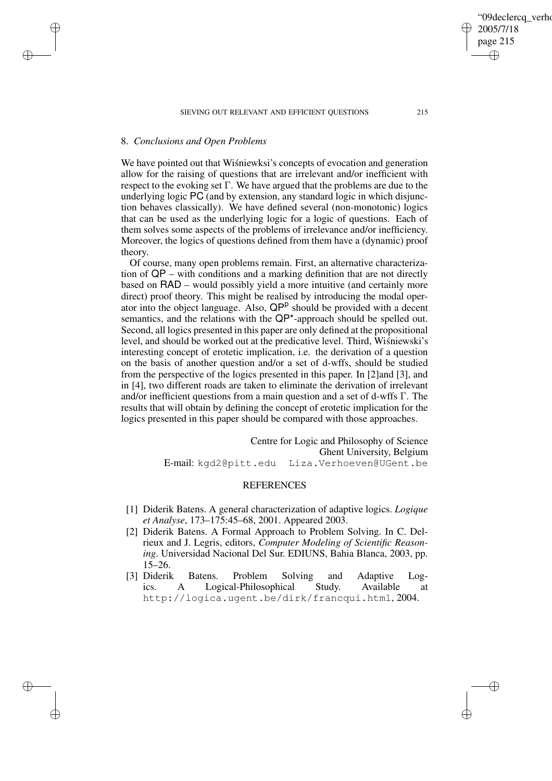### SIEVING OUT RELEVANT AND EFFICIENT QUESTIONS 215

### 8. *Conclusions and Open Problems*

✐

✐

✐

✐

We have pointed out that Wisniewksi's concepts of evocation and generation allow for the raising of questions that are irrelevant and/or inefficient with respect to the evoking set Γ. We have argued that the problems are due to the underlying logic PC (and by extension, any standard logic in which disjunction behaves classically). We have defined several (non-monotonic) logics that can be used as the underlying logic for a logic of questions. Each of them solves some aspects of the problems of irrelevance and/or inefficiency. Moreover, the logics of questions defined from them have a (dynamic) proof theory.

Of course, many open problems remain. First, an alternative characterization of QP – with conditions and a marking definition that are not directly based on RAD – would possibly yield a more intuitive (and certainly more direct) proof theory. This might be realised by introducing the modal operator into the object language. Also,  $QP^p$  should be provided with a decent semantics, and the relations with the QP\*-approach should be spelled out. Second, all logics presented in this paper are only defined at the propositional level, and should be worked out at the predicative level. Third, Wiśniewski's interesting concept of erotetic implication, i.e. the derivation of a question on the basis of another question and/or a set of d-wffs, should be studied from the perspective of the logics presented in this paper. In [2]and [3], and in [4], two different roads are taken to eliminate the derivation of irrelevant and/or inefficient questions from a main question and a set of d-wffs Γ. The results that will obtain by defining the concept of erotetic implication for the logics presented in this paper should be compared with those approaches.

> Centre for Logic and Philosophy of Science Ghent University, Belgium E-mail: kgd2@pitt.edu Liza.Verhoeven@UGent.be

### **REFERENCES**

- [1] Diderik Batens. A general characterization of adaptive logics. *Logique et Analyse*, 173–175:45–68, 2001. Appeared 2003.
- [2] Diderik Batens. A Formal Approach to Problem Solving. In C. Delrieux and J. Legris, editors, *Computer Modeling of Scientific Reasoning*. Universidad Nacional Del Sur. EDIUNS, Bahia Blanca, 2003, pp. 15–26.
- [3] Diderik Batens. Problem Solving and Adaptive Logics. A Logical-Philosophical Study. Available at http://logica.ugent.be/dirk/francqui.html, 2004.

'09declerca\_verho 2005/7/18 page 215 ✐ ✐

✐